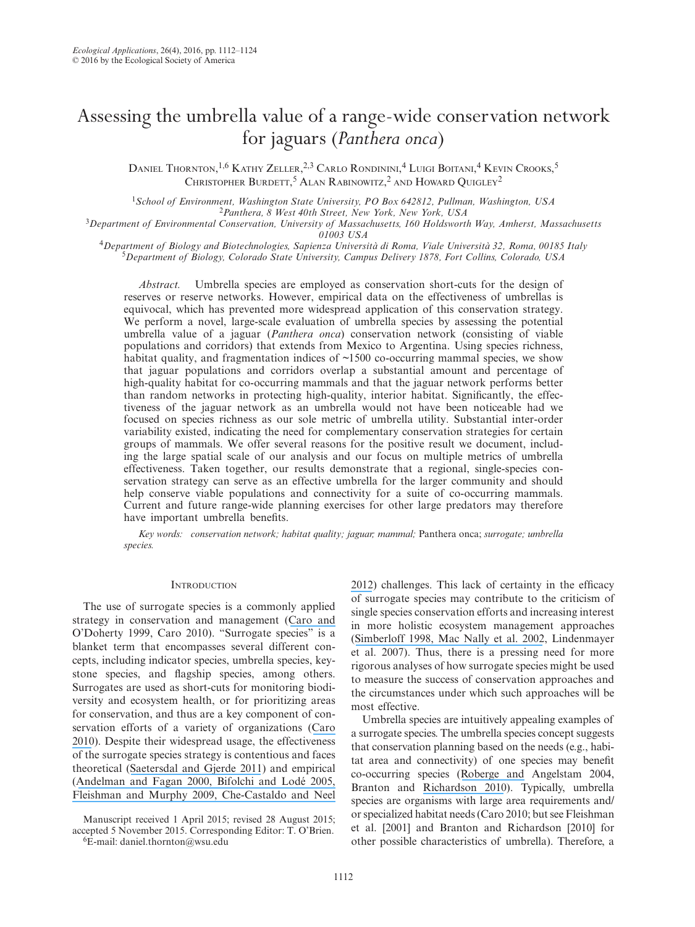# Assessing the umbrella value of a range-wide conservation network for jaguars (*Panthera onca*)

Daniel Thornton,<sup>1,6</sup> Kathy Zeller,<sup>2,3</sup> Carlo Rondinini,<sup>4</sup> Luigi Boitani,<sup>4</sup> Kevin Crooks,<sup>5</sup> Christopher Burdett, $^5$  Alan Rabinowitz, $^2$  and Howard Quigley $^2$ 

<sup>1</sup>School of Environment, Washington State University, PO Box 642812, Pullman, Washington, USA<br><sup>2</sup>Panthera, 8 West 40th Street, New York, New York, USA<br><sup>3</sup>Department of Environmental Conservation, University of Massachuse

<sup>4</sup>Department of Biology and Biotechnologies, Sapienza Università di Roma, Viale Università 32, Roma, 00185 Italy<br><sup>5</sup>Department of Biology, Colorado State University, Campus Delivery 1878, Fort Collins, Colorado, USA

*Abstract.* Umbrella species are employed as conservation short-cuts for the design of reserves or reserve networks. However, empirical data on the effectiveness of umbrellas is equivocal, which has prevented more widespread application of this conservation strategy. We perform a novel, large-scale evaluation of umbrella species by assessing the potential umbrella value of a jaguar (*Panthera onca*) conservation network (consisting of viable populations and corridors) that extends from Mexico to Argentina. Using species richness, habitat quality, and fragmentation indices of  $\sim$ 1500 co-occurring mammal species, we show that jaguar populations and corridors overlap a substantial amount and percentage of high-quality habitat for co-occurring mammals and that the jaguar network performs better than random networks in protecting high-quality, interior habitat. Significantly, the effectiveness of the jaguar network as an umbrella would not have been noticeable had we focused on species richness as our sole metric of umbrella utility. Substantial inter-order variability existed, indicating the need for complementary conservation strategies for certain groups of mammals. We offer several reasons for the positive result we document, including the large spatial scale of our analysis and our focus on multiple metrics of umbrella effectiveness. Taken together, our results demonstrate that a regional, single-species conservation strategy can serve as an effective umbrella for the larger community and should help conserve viable populations and connectivity for a suite of co-occurring mammals. Current and future range-wide planning exercises for other large predators may therefore have important umbrella benefits.

*Key words: conservation network; habitat quality; jaguar; mammal;* Panthera onca; *surrogate; umbrella species.*

# **INTRODUCTION**

The use of surrogate species is a commonly applied strategy in conservation and management ([Caro and](https://www.researchgate.net/publication/45258016_Conservation_by_Proxy_Indicator_Umbrella_Keystone_Flagship_and_Other_Surrogate_Species?el=1_x_8&enrichId=rgreq-a71d93e25b003951777f45b40c81ef78-XXX&enrichSource=Y292ZXJQYWdlOzMwMzUzMTgzNTtBUzozNzU4MTE5NDYzNjkwMjVAMTQ2NjYxMTk1ODQ5MA==)  O'Doherty 1999, Caro 2010). "Surrogate species" is a blanket term that encompasses several different concepts, including indicator species, umbrella species, keystone species, and flagship species, among others. Surrogates are used as short-cuts for monitoring biodiversity and ecosystem health, or for prioritizing areas for conservation, and thus are a key component of conservation efforts of a variety of organizations ([Caro](https://www.researchgate.net/publication/45258016_Conservation_by_Proxy_Indicator_Umbrella_Keystone_Flagship_and_Other_Surrogate_Species?el=1_x_8&enrichId=rgreq-a71d93e25b003951777f45b40c81ef78-XXX&enrichSource=Y292ZXJQYWdlOzMwMzUzMTgzNTtBUzozNzU4MTE5NDYzNjkwMjVAMTQ2NjYxMTk1ODQ5MA==)  [2010](https://www.researchgate.net/publication/45258016_Conservation_by_Proxy_Indicator_Umbrella_Keystone_Flagship_and_Other_Surrogate_Species?el=1_x_8&enrichId=rgreq-a71d93e25b003951777f45b40c81ef78-XXX&enrichSource=Y292ZXJQYWdlOzMwMzUzMTgzNTtBUzozNzU4MTE5NDYzNjkwMjVAMTQ2NjYxMTk1ODQ5MA==)). Despite their widespread usage, the effectiveness of the surrogate species strategy is contentious and faces theoretical ([Saetersdal and Gjerde 2011](https://www.researchgate.net/publication/230252901_Prioritising_conservation_areas_using_species_surrogate_measures_Consistent_with_ecological_theory?el=1_x_8&enrichId=rgreq-a71d93e25b003951777f45b40c81ef78-XXX&enrichSource=Y292ZXJQYWdlOzMwMzUzMTgzNTtBUzozNzU4MTE5NDYzNjkwMjVAMTQ2NjYxMTk1ODQ5MA==)) and empirical ([Andelman and Fagan 2000](https://www.researchgate.net/publication/12505756_Umbrellas_and_flagships_Efficient_conservation_surrogates_or_expensive_mistakes?el=1_x_8&enrichId=rgreq-a71d93e25b003951777f45b40c81ef78-XXX&enrichSource=Y292ZXJQYWdlOzMwMzUzMTgzNTtBUzozNzU4MTE5NDYzNjkwMjVAMTQ2NjYxMTk1ODQ5MA==)[, Bifolchi and Lodé 2005](https://www.researchgate.net/publication/223755836_Efficiency_of_conservation_shortcuts_An_investigation_with_otters_as_umbrella_species?el=1_x_8&enrichId=rgreq-a71d93e25b003951777f45b40c81ef78-XXX&enrichSource=Y292ZXJQYWdlOzMwMzUzMTgzNTtBUzozNzU4MTE5NDYzNjkwMjVAMTQ2NjYxMTk1ODQ5MA==)[,](https://www.researchgate.net/publication/24444056_A_Realistic_Assessment_of_the_Indicator_Potential_of_Butterflies_and_Other_Charismatic_Taxonomic_Groups?el=1_x_8&enrichId=rgreq-a71d93e25b003951777f45b40c81ef78-XXX&enrichSource=Y292ZXJQYWdlOzMwMzUzMTgzNTtBUzozNzU4MTE5NDYzNjkwMjVAMTQ2NjYxMTk1ODQ5MA==)  [Fleishman and Murphy 2009](https://www.researchgate.net/publication/24444056_A_Realistic_Assessment_of_the_Indicator_Potential_of_Butterflies_and_Other_Charismatic_Taxonomic_Groups?el=1_x_8&enrichId=rgreq-a71d93e25b003951777f45b40c81ef78-XXX&enrichSource=Y292ZXJQYWdlOzMwMzUzMTgzNTtBUzozNzU4MTE5NDYzNjkwMjVAMTQ2NjYxMTk1ODQ5MA==)[, Che-Castaldo and Neel](https://www.researchgate.net/publication/233915664_Testing_Surrogacy_Assumptions_Can_Threatened_and_Endangered_Plants_Be_Grouped_by_Biological_Similarity_and_Abundances?el=1_x_8&enrichId=rgreq-a71d93e25b003951777f45b40c81ef78-XXX&enrichSource=Y292ZXJQYWdlOzMwMzUzMTgzNTtBUzozNzU4MTE5NDYzNjkwMjVAMTQ2NjYxMTk1ODQ5MA==) 

Manuscript received 1 April 2015; revised 28 August 2015; accepted 5 November 2015. Corresponding Editor: T. O'Brien. 6E-mail: [daniel.thornton@wsu.edu](mailto:daniel.thornton@wsu.edu)

[2012](https://www.researchgate.net/publication/233915664_Testing_Surrogacy_Assumptions_Can_Threatened_and_Endangered_Plants_Be_Grouped_by_Biological_Similarity_and_Abundances?el=1_x_8&enrichId=rgreq-a71d93e25b003951777f45b40c81ef78-XXX&enrichSource=Y292ZXJQYWdlOzMwMzUzMTgzNTtBUzozNzU4MTE5NDYzNjkwMjVAMTQ2NjYxMTk1ODQ5MA==)) challenges. This lack of certainty in the efficacy of surrogate species may contribute to the criticism of single species conservation efforts and increasing interest in more holistic ecosystem management approaches ([Simberloff 1998](https://www.researchgate.net/publication/223837047_Flagships_umbrellas_and_keystones_Is_single-species_management_passe_in_the_landscape_era?el=1_x_8&enrichId=rgreq-a71d93e25b003951777f45b40c81ef78-XXX&enrichSource=Y292ZXJQYWdlOzMwMzUzMTgzNTtBUzozNzU4MTE5NDYzNjkwMjVAMTQ2NjYxMTk1ODQ5MA==)[, Mac Nally et](https://www.researchgate.net/publication/250077337_How_Well_Do_Ecosystem-Based_Planning_Units_Represent_Different_Components_of_Biodiversity?el=1_x_8&enrichId=rgreq-a71d93e25b003951777f45b40c81ef78-XXX&enrichSource=Y292ZXJQYWdlOzMwMzUzMTgzNTtBUzozNzU4MTE5NDYzNjkwMjVAMTQ2NjYxMTk1ODQ5MA==) al. 2002, Lindenmayer et al. 2007). Thus, there is a pressing need for more rigorous analyses of how surrogate species might be used to measure the success of conservation approaches and the circumstances under which such approaches will be most effective.

Umbrella species are intuitively appealing examples of a surrogate species. The umbrella species concept suggests that conservation planning based on the needs (e.g., habitat area and connectivity) of one species may benefit co-occurring species ([Roberge and](https://www.researchgate.net/publication/257127470_Usefulness_of_the_Umbrella_Species_Concept_as_a_Conservation_Tool?el=1_x_8&enrichId=rgreq-a71d93e25b003951777f45b40c81ef78-XXX&enrichSource=Y292ZXJQYWdlOzMwMzUzMTgzNTtBUzozNzU4MTE5NDYzNjkwMjVAMTQ2NjYxMTk1ODQ5MA==) Angelstam 2004, Branton and [Richardson 2010](https://www.researchgate.net/publication/49623034_Assessing_the_Value_of_the_Umbrella-Species_Concept_for_Conservation_Planning_with_Meta-Analysis?el=1_x_8&enrichId=rgreq-a71d93e25b003951777f45b40c81ef78-XXX&enrichSource=Y292ZXJQYWdlOzMwMzUzMTgzNTtBUzozNzU4MTE5NDYzNjkwMjVAMTQ2NjYxMTk1ODQ5MA==)). Typically, umbrella species are organisms with large area requirements and/ or specialized habitat needs (Caro 2010; but see Fleishman et al. [2001] and Branton and Richardson [2010] for other possible characteristics of umbrella). Therefore, a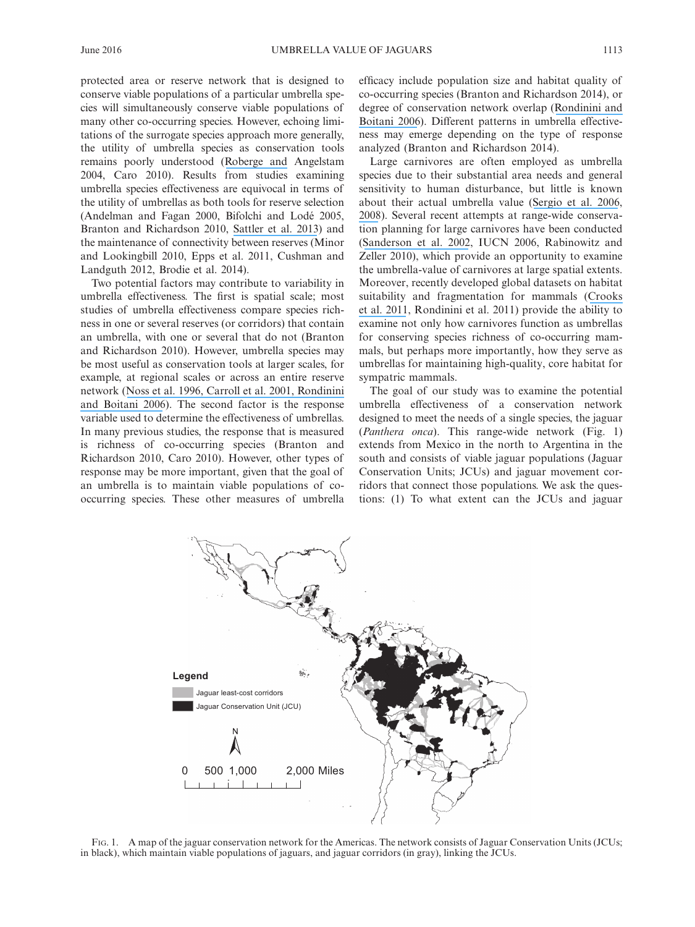protected area or reserve network that is designed to conserve viable populations of a particular umbrella species will simultaneously conserve viable populations of many other co-occurring species. However, echoing limitations of the surrogate species approach more generally, the utility of umbrella species as conservation tools remains poorly understood ([Roberge and](https://www.researchgate.net/publication/257127470_Usefulness_of_the_Umbrella_Species_Concept_as_a_Conservation_Tool?el=1_x_8&enrichId=rgreq-a71d93e25b003951777f45b40c81ef78-XXX&enrichSource=Y292ZXJQYWdlOzMwMzUzMTgzNTtBUzozNzU4MTE5NDYzNjkwMjVAMTQ2NjYxMTk1ODQ5MA==) Angelstam 2004, Caro 2010). Results from studies examining umbrella species effectiveness are equivocal in terms of the utility of umbrellas as both tools for reserve selection (Andelman and Fagan 2000, Bifolchi and Lodé 2005, Branton and Richardson 2010, [Sattler et](https://www.researchgate.net/publication/259488779_Selection_of_Multiple_Umbrella_Species_for_Functional_and_Taxonomic_Diversity_to_Represent_Urban_Biodiversity?el=1_x_8&enrichId=rgreq-a71d93e25b003951777f45b40c81ef78-XXX&enrichSource=Y292ZXJQYWdlOzMwMzUzMTgzNTtBUzozNzU4MTE5NDYzNjkwMjVAMTQ2NjYxMTk1ODQ5MA==) al. 2013) and the maintenance of connectivity between reserves (Minor and Lookingbill 2010, Epps et al. 2011, Cushman and Landguth 2012, Brodie et al. 2014).

Two potential factors may contribute to variability in umbrella effectiveness. The first is spatial scale; most studies of umbrella effectiveness compare species richness in one or several reserves (or corridors) that contain an umbrella, with one or several that do not (Branton and Richardson 2010). However, umbrella species may be most useful as conservation tools at larger scales, for example, at regional scales or across an entire reserve network (Noss et [al. 1996](https://www.researchgate.net/publication/249431998_Conservation_Biology_and_Carnivore_Conservation_in_the_Rocky_Mountains?el=1_x_8&enrichId=rgreq-a71d93e25b003951777f45b40c81ef78-XXX&enrichSource=Y292ZXJQYWdlOzMwMzUzMTgzNTtBUzozNzU4MTE5NDYzNjkwMjVAMTQ2NjYxMTk1ODQ5MA==)[, Carroll et](https://www.researchgate.net/publication/241603788_Carnivores_as_Focal_Species_for_Conservation_Planning_in_the_Rocky_Mountain_Region?el=1_x_8&enrichId=rgreq-a71d93e25b003951777f45b40c81ef78-XXX&enrichSource=Y292ZXJQYWdlOzMwMzUzMTgzNTtBUzozNzU4MTE5NDYzNjkwMjVAMTQ2NjYxMTk1ODQ5MA==) al. 200[1, Rondinini](https://www.researchgate.net/publication/6877199_Differences_in_the_Umbrella_Effects_of_African_Amphibians_and_Mammals_Based_on_Two_Estimators_of_the_Area_of_Occupancy?el=1_x_8&enrichId=rgreq-a71d93e25b003951777f45b40c81ef78-XXX&enrichSource=Y292ZXJQYWdlOzMwMzUzMTgzNTtBUzozNzU4MTE5NDYzNjkwMjVAMTQ2NjYxMTk1ODQ5MA==)  [and Boitani 2006](https://www.researchgate.net/publication/6877199_Differences_in_the_Umbrella_Effects_of_African_Amphibians_and_Mammals_Based_on_Two_Estimators_of_the_Area_of_Occupancy?el=1_x_8&enrichId=rgreq-a71d93e25b003951777f45b40c81ef78-XXX&enrichSource=Y292ZXJQYWdlOzMwMzUzMTgzNTtBUzozNzU4MTE5NDYzNjkwMjVAMTQ2NjYxMTk1ODQ5MA==)). The second factor is the response variable used to determine the effectiveness of umbrellas. In many previous studies, the response that is measured is richness of co-occurring species (Branton and Richardson 2010, Caro 2010). However, other types of response may be more important, given that the goal of an umbrella is to maintain viable populations of cooccurring species. These other measures of umbrella

efficacy include population size and habitat quality of co-occurring species (Branton and Richardson 2014), or degree of conservation network overlap ([Rondinini and](https://www.researchgate.net/publication/6877199_Differences_in_the_Umbrella_Effects_of_African_Amphibians_and_Mammals_Based_on_Two_Estimators_of_the_Area_of_Occupancy?el=1_x_8&enrichId=rgreq-a71d93e25b003951777f45b40c81ef78-XXX&enrichSource=Y292ZXJQYWdlOzMwMzUzMTgzNTtBUzozNzU4MTE5NDYzNjkwMjVAMTQ2NjYxMTk1ODQ5MA==)  [Boitani 2006](https://www.researchgate.net/publication/6877199_Differences_in_the_Umbrella_Effects_of_African_Amphibians_and_Mammals_Based_on_Two_Estimators_of_the_Area_of_Occupancy?el=1_x_8&enrichId=rgreq-a71d93e25b003951777f45b40c81ef78-XXX&enrichSource=Y292ZXJQYWdlOzMwMzUzMTgzNTtBUzozNzU4MTE5NDYzNjkwMjVAMTQ2NjYxMTk1ODQ5MA==)). Different patterns in umbrella effectiveness may emerge depending on the type of response analyzed (Branton and Richardson 2014).

Large carnivores are often employed as umbrella species due to their substantial area needs and general sensitivity to human disturbance, but little is known about their actual umbrella value ([Sergio et](https://www.researchgate.net/publication/227994604_Ecologically_justified_charisma_Preservation_of_top_predators_delivers_biodiversity_conservation?el=1_x_8&enrichId=rgreq-a71d93e25b003951777f45b40c81ef78-XXX&enrichSource=Y292ZXJQYWdlOzMwMzUzMTgzNTtBUzozNzU4MTE5NDYzNjkwMjVAMTQ2NjYxMTk1ODQ5MA==) al. 2006, [2008](https://www.researchgate.net/publication/228622050_Top_Predators_as_Conservation_Tools_Ecological_Rationale_Assumptions_and_Efficacy?el=1_x_8&enrichId=rgreq-a71d93e25b003951777f45b40c81ef78-XXX&enrichSource=Y292ZXJQYWdlOzMwMzUzMTgzNTtBUzozNzU4MTE5NDYzNjkwMjVAMTQ2NjYxMTk1ODQ5MA==)). Several recent attempts at range-wide conservation planning for large carnivores have been conducted ([Sanderson et](https://www.researchgate.net/publication/227515316_Planning_to_Save_a_Species_the_Jaguar_as_a_Model?el=1_x_8&enrichId=rgreq-a71d93e25b003951777f45b40c81ef78-XXX&enrichSource=Y292ZXJQYWdlOzMwMzUzMTgzNTtBUzozNzU4MTE5NDYzNjkwMjVAMTQ2NjYxMTk1ODQ5MA==) al. 2002, IUCN 2006, Rabinowitz and Zeller 2010), which provide an opportunity to examine the umbrella-value of carnivores at large spatial extents. Moreover, recently developed global datasets on habitat suitability and fragmentation for mammals ([Crooks](https://www.researchgate.net/publication/51573757_Global_patterns_of_fragmentation_and_connectivity_of_carnivore_habitat?el=1_x_8&enrichId=rgreq-a71d93e25b003951777f45b40c81ef78-XXX&enrichSource=Y292ZXJQYWdlOzMwMzUzMTgzNTtBUzozNzU4MTE5NDYzNjkwMjVAMTQ2NjYxMTk1ODQ5MA==)  et [al. 2011](https://www.researchgate.net/publication/51573757_Global_patterns_of_fragmentation_and_connectivity_of_carnivore_habitat?el=1_x_8&enrichId=rgreq-a71d93e25b003951777f45b40c81ef78-XXX&enrichSource=Y292ZXJQYWdlOzMwMzUzMTgzNTtBUzozNzU4MTE5NDYzNjkwMjVAMTQ2NjYxMTk1ODQ5MA==), Rondinini et al. 2011) provide the ability to examine not only how carnivores function as umbrellas for conserving species richness of co-occurring mammals, but perhaps more importantly, how they serve as umbrellas for maintaining high-quality, core habitat for sympatric mammals.

The goal of our study was to examine the potential umbrella effectiveness of a conservation network designed to meet the needs of a single species, the jaguar (*Panthera onca*). This range-wide network (Fig. 1) extends from Mexico in the north to Argentina in the south and consists of viable jaguar populations (Jaguar Conservation Units; JCUs) and jaguar movement corridors that connect those populations. We ask the questions: (1) To what extent can the JCUs and jaguar



Fig. 1. A map of the jaguar conservation network for the Americas. The network consists of Jaguar Conservation Units (JCUs; in black), which maintain viable populations of jaguars, and jaguar corridors (in gray), linking the JCUs.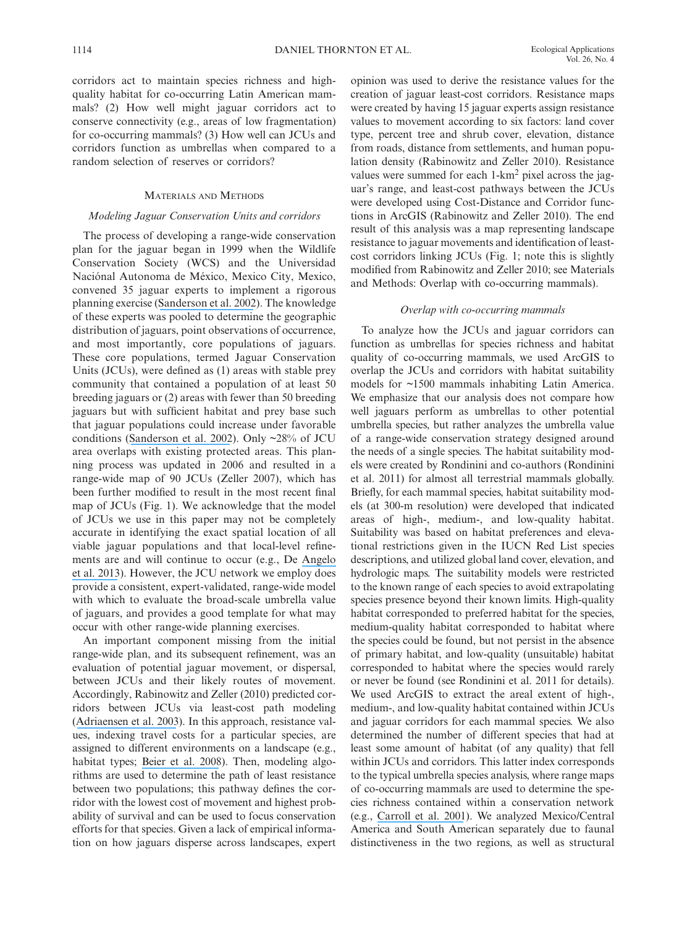corridors act to maintain species richness and highquality habitat for co-occurring Latin American mammals? (2) How well might jaguar corridors act to conserve connectivity (e.g., areas of low fragmentation) for co-occurring mammals? (3) How well can JCUs and corridors function as umbrellas when compared to a random selection of reserves or corridors?

# Materials and Methods

## *Modeling Jaguar Conservation Units and corridors*

The process of developing a range-wide conservation plan for the jaguar began in 1999 when the Wildlife Conservation Society (WCS) and the Universidad Naciónal Autonoma de México, Mexico City, Mexico, convened 35 jaguar experts to implement a rigorous planning exercise ([Sanderson et](https://www.researchgate.net/publication/227515316_Planning_to_Save_a_Species_the_Jaguar_as_a_Model?el=1_x_8&enrichId=rgreq-a71d93e25b003951777f45b40c81ef78-XXX&enrichSource=Y292ZXJQYWdlOzMwMzUzMTgzNTtBUzozNzU4MTE5NDYzNjkwMjVAMTQ2NjYxMTk1ODQ5MA==) al. 2002). The knowledge of these experts was pooled to determine the geographic distribution of jaguars, point observations of occurrence, and most importantly, core populations of jaguars. These core populations, termed Jaguar Conservation Units (JCUs), were defined as (1) areas with stable prey community that contained a population of at least 50 breeding jaguars or (2) areas with fewer than 50 breeding jaguars but with sufficient habitat and prey base such that jaguar populations could increase under favorable conditions ([Sanderson et](https://www.researchgate.net/publication/227515316_Planning_to_Save_a_Species_the_Jaguar_as_a_Model?el=1_x_8&enrichId=rgreq-a71d93e25b003951777f45b40c81ef78-XXX&enrichSource=Y292ZXJQYWdlOzMwMzUzMTgzNTtBUzozNzU4MTE5NDYzNjkwMjVAMTQ2NjYxMTk1ODQ5MA==) al. 2002). Only  $\sim$ 28% of JCU area overlaps with existing protected areas. This planning process was updated in 2006 and resulted in a range-wide map of 90 JCUs (Zeller 2007), which has been further modified to result in the most recent final map of JCUs (Fig. 1). We acknowledge that the model of JCUs we use in this paper may not be completely accurate in identifying the exact spatial location of all viable jaguar populations and that local-level refinements are and will continue to occur (e.g., De [Angelo](https://www.researchgate.net/publication/256669190_Understanding_species_persistence_for_defining_conservation_actions_A_management_landscape_for_jaguars_in_the_Atlantic_Forest?el=1_x_8&enrichId=rgreq-a71d93e25b003951777f45b40c81ef78-XXX&enrichSource=Y292ZXJQYWdlOzMwMzUzMTgzNTtBUzozNzU4MTE5NDYzNjkwMjVAMTQ2NjYxMTk1ODQ5MA==) et [al. 2013](https://www.researchgate.net/publication/256669190_Understanding_species_persistence_for_defining_conservation_actions_A_management_landscape_for_jaguars_in_the_Atlantic_Forest?el=1_x_8&enrichId=rgreq-a71d93e25b003951777f45b40c81ef78-XXX&enrichSource=Y292ZXJQYWdlOzMwMzUzMTgzNTtBUzozNzU4MTE5NDYzNjkwMjVAMTQ2NjYxMTk1ODQ5MA==)). However, the JCU network we employ does provide a consistent, expert-validated, range-wide model with which to evaluate the broad-scale umbrella value of jaguars, and provides a good template for what may occur with other range-wide planning exercises.

An important component missing from the initial range-wide plan, and its subsequent refinement, was an evaluation of potential jaguar movement, or dispersal, between JCUs and their likely routes of movement. Accordingly, Rabinowitz and Zeller (2010) predicted corridors between JCUs via least-cost path modeling ([Adriaensen et](https://www.researchgate.net/publication/222701876_The_Application_of_) al. 2003). In this approach, resistance values, indexing travel costs for a particular species, are assigned to different environments on a landscape (e.g., habitat types; [Beier et](https://www.researchgate.net/publication/5313387_Forks_in_the_Road_Choices_in_Procedures_for_Designing_Wildland_Linkages?el=1_x_8&enrichId=rgreq-a71d93e25b003951777f45b40c81ef78-XXX&enrichSource=Y292ZXJQYWdlOzMwMzUzMTgzNTtBUzozNzU4MTE5NDYzNjkwMjVAMTQ2NjYxMTk1ODQ5MA==) al. 2008). Then, modeling algorithms are used to determine the path of least resistance between two populations; this pathway defines the corridor with the lowest cost of movement and highest probability of survival and can be used to focus conservation efforts for that species. Given a lack of empirical information on how jaguars disperse across landscapes, expert

opinion was used to derive the resistance values for the creation of jaguar least-cost corridors. Resistance maps were created by having 15 jaguar experts assign resistance values to movement according to six factors: land cover type, percent tree and shrub cover, elevation, distance from roads, distance from settlements, and human population density (Rabinowitz and Zeller 2010). Resistance values were summed for each 1-km2 pixel across the jaguar's range, and least-cost pathways between the JCUs were developed using Cost-Distance and Corridor functions in ArcGIS (Rabinowitz and Zeller 2010). The end result of this analysis was a map representing landscape resistance to jaguar movements and identification of leastcost corridors linking JCUs (Fig. 1; note this is slightly modified from Rabinowitz and Zeller 2010; see Materials and Methods: Overlap with co-occurring mammals).

# *Overlap with co-occurring mammals*

To analyze how the JCUs and jaguar corridors can function as umbrellas for species richness and habitat quality of co-occurring mammals, we used ArcGIS to overlap the JCUs and corridors with habitat suitability models for ~1500 mammals inhabiting Latin America. We emphasize that our analysis does not compare how well jaguars perform as umbrellas to other potential umbrella species, but rather analyzes the umbrella value of a range-wide conservation strategy designed around the needs of a single species. The habitat suitability models were created by Rondinini and co-authors (Rondinini et al. 2011) for almost all terrestrial mammals globally. Briefly, for each mammal species, habitat suitability models (at 300-m resolution) were developed that indicated areas of high-, medium-, and low-quality habitat. Suitability was based on habitat preferences and elevational restrictions given in the IUCN Red List species descriptions, and utilized global land cover, elevation, and hydrologic maps. The suitability models were restricted to the known range of each species to avoid extrapolating species presence beyond their known limits. High-quality habitat corresponded to preferred habitat for the species, medium-quality habitat corresponded to habitat where the species could be found, but not persist in the absence of primary habitat, and low-quality (unsuitable) habitat corresponded to habitat where the species would rarely or never be found (see Rondinini et al. 2011 for details). We used ArcGIS to extract the areal extent of high-, medium-, and low-quality habitat contained within JCUs and jaguar corridors for each mammal species. We also determined the number of different species that had at least some amount of habitat (of any quality) that fell within JCUs and corridors. This latter index corresponds to the typical umbrella species analysis, where range maps of co-occurring mammals are used to determine the species richness contained within a conservation network (e.g., [Carroll et](https://www.researchgate.net/publication/241603788_Carnivores_as_Focal_Species_for_Conservation_Planning_in_the_Rocky_Mountain_Region?el=1_x_8&enrichId=rgreq-a71d93e25b003951777f45b40c81ef78-XXX&enrichSource=Y292ZXJQYWdlOzMwMzUzMTgzNTtBUzozNzU4MTE5NDYzNjkwMjVAMTQ2NjYxMTk1ODQ5MA==) al. 2001). We analyzed Mexico/Central America and South American separately due to faunal distinctiveness in the two regions, as well as structural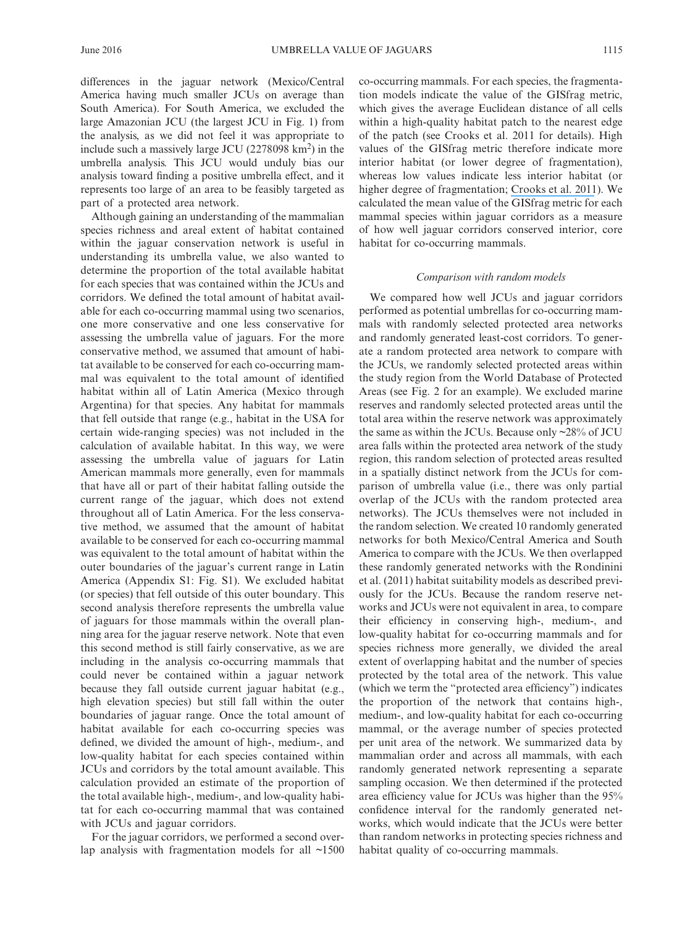differences in the jaguar network (Mexico/Central America having much smaller JCUs on average than South America). For South America, we excluded the large Amazonian JCU (the largest JCU in Fig. 1) from the analysis, as we did not feel it was appropriate to include such a massively large JCU  $(2278098 \text{ km}^2)$  in the umbrella analysis. This JCU would unduly bias our analysis toward finding a positive umbrella effect, and it represents too large of an area to be feasibly targeted as part of a protected area network.

Although gaining an understanding of the mammalian species richness and areal extent of habitat contained within the jaguar conservation network is useful in understanding its umbrella value, we also wanted to determine the proportion of the total available habitat for each species that was contained within the JCUs and corridors. We defined the total amount of habitat available for each co-occurring mammal using two scenarios, one more conservative and one less conservative for assessing the umbrella value of jaguars. For the more conservative method, we assumed that amount of habitat available to be conserved for each co-occurring mammal was equivalent to the total amount of identified habitat within all of Latin America (Mexico through Argentina) for that species. Any habitat for mammals that fell outside that range (e.g., habitat in the USA for certain wide-ranging species) was not included in the calculation of available habitat. In this way, we were assessing the umbrella value of jaguars for Latin American mammals more generally, even for mammals that have all or part of their habitat falling outside the current range of the jaguar, which does not extend throughout all of Latin America. For the less conservative method, we assumed that the amount of habitat available to be conserved for each co-occurring mammal was equivalent to the total amount of habitat within the outer boundaries of the jaguar's current range in Latin America (Appendix S1: Fig. S1). We excluded habitat (or species) that fell outside of this outer boundary. This second analysis therefore represents the umbrella value of jaguars for those mammals within the overall planning area for the jaguar reserve network. Note that even this second method is still fairly conservative, as we are including in the analysis co-occurring mammals that could never be contained within a jaguar network because they fall outside current jaguar habitat (e.g., high elevation species) but still fall within the outer boundaries of jaguar range. Once the total amount of habitat available for each co-occurring species was defined, we divided the amount of high-, medium-, and low-quality habitat for each species contained within JCUs and corridors by the total amount available. This calculation provided an estimate of the proportion of the total available high-, medium-, and low-quality habitat for each co-occurring mammal that was contained with JCUs and jaguar corridors.

For the jaguar corridors, we performed a second overlap analysis with fragmentation models for all ~1500 co-occurring mammals. For each species, the fragmentation models indicate the value of the GISfrag metric, which gives the average Euclidean distance of all cells within a high-quality habitat patch to the nearest edge of the patch (see Crooks et al. 2011 for details). High values of the GISfrag metric therefore indicate more interior habitat (or lower degree of fragmentation), whereas low values indicate less interior habitat (or higher degree of fragmentation; [Crooks et](https://www.researchgate.net/publication/51573757_Global_patterns_of_fragmentation_and_connectivity_of_carnivore_habitat?el=1_x_8&enrichId=rgreq-a71d93e25b003951777f45b40c81ef78-XXX&enrichSource=Y292ZXJQYWdlOzMwMzUzMTgzNTtBUzozNzU4MTE5NDYzNjkwMjVAMTQ2NjYxMTk1ODQ5MA==) al. 2011). We calculated the mean value of the GISfrag metric for each mammal species within jaguar corridors as a measure of how well jaguar corridors conserved interior, core habitat for co-occurring mammals.

#### *Comparison with random models*

We compared how well JCUs and jaguar corridors performed as potential umbrellas for co-occurring mammals with randomly selected protected area networks and randomly generated least-cost corridors. To generate a random protected area network to compare with the JCUs, we randomly selected protected areas within the study region from the World Database of Protected Areas (see Fig. 2 for an example). We excluded marine reserves and randomly selected protected areas until the total area within the reserve network was approximately the same as within the JCUs. Because only ~28% of JCU area falls within the protected area network of the study region, this random selection of protected areas resulted in a spatially distinct network from the JCUs for comparison of umbrella value (i.e., there was only partial overlap of the JCUs with the random protected area networks). The JCUs themselves were not included in the random selection. We created 10 randomly generated networks for both Mexico/Central America and South America to compare with the JCUs. We then overlapped these randomly generated networks with the Rondinini et al. (2011) habitat suitability models as described previously for the JCUs. Because the random reserve networks and JCUs were not equivalent in area, to compare their efficiency in conserving high-, medium-, and low-quality habitat for co-occurring mammals and for species richness more generally, we divided the areal extent of overlapping habitat and the number of species protected by the total area of the network. This value (which we term the "protected area efficiency") indicates the proportion of the network that contains high-, medium-, and low-quality habitat for each co-occurring mammal, or the average number of species protected per unit area of the network. We summarized data by mammalian order and across all mammals, with each randomly generated network representing a separate sampling occasion. We then determined if the protected area efficiency value for JCUs was higher than the 95% confidence interval for the randomly generated networks, which would indicate that the JCUs were better than random networks in protecting species richness and habitat quality of co-occurring mammals.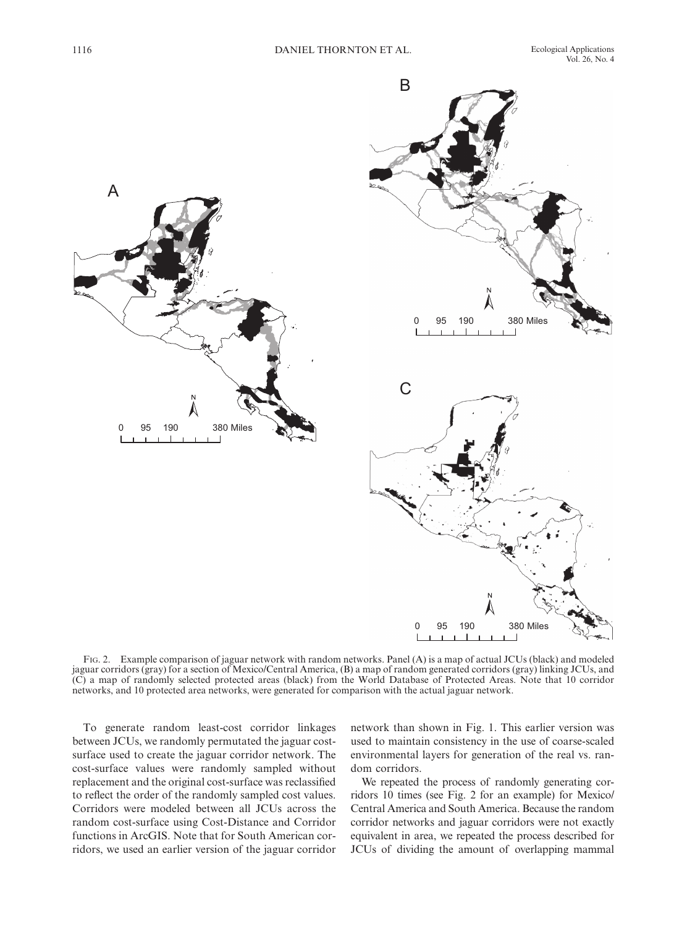

Fig. 2. Example comparison of jaguar network with random networks. Panel (A) is a map of actual JCUs (black) and modeled jaguar corridors (gray) for a section of Mexico/Central America, (B) a map of random generated corridors (gray) linking JCUs, and (C) a map of randomly selected protected areas (black) from the World Database of Protected Areas. Note that 10 corridor networks, and 10 protected area networks, were generated for comparison with the actual jaguar network.

To generate random least-cost corridor linkages between JCUs, we randomly permutated the jaguar costsurface used to create the jaguar corridor network. The cost-surface values were randomly sampled without replacement and the original cost-surface was reclassified to reflect the order of the randomly sampled cost values. Corridors were modeled between all JCUs across the random cost-surface using Cost-Distance and Corridor functions in ArcGIS. Note that for South American corridors, we used an earlier version of the jaguar corridor

network than shown in Fig. 1. This earlier version was used to maintain consistency in the use of coarse-scaled environmental layers for generation of the real vs. random corridors.

We repeated the process of randomly generating corridors 10 times (see Fig. 2 for an example) for Mexico/ Central America and South America. Because the random corridor networks and jaguar corridors were not exactly equivalent in area, we repeated the process described for JCUs of dividing the amount of overlapping mammal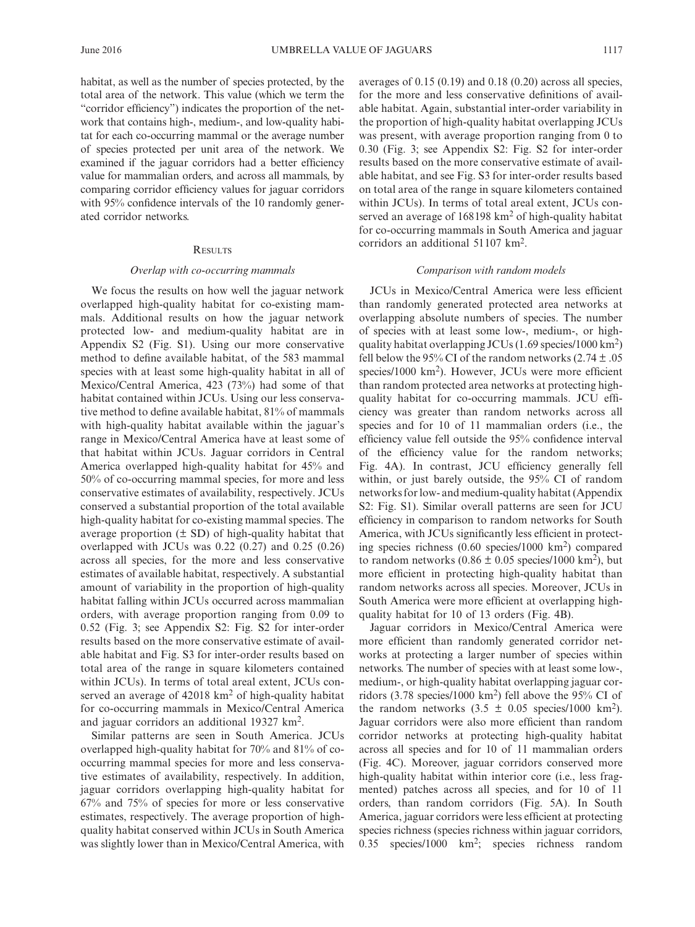habitat, as well as the number of species protected, by the total area of the network. This value (which we term the "corridor efficiency") indicates the proportion of the network that contains high-, medium-, and low-quality habitat for each co-occurring mammal or the average number of species protected per unit area of the network. We examined if the jaguar corridors had a better efficiency value for mammalian orders, and across all mammals, by comparing corridor efficiency values for jaguar corridors with 95% confidence intervals of the 10 randomly generated corridor networks.

#### **RESULTS**

### *Overlap with co-occurring mammals*

We focus the results on how well the jaguar network overlapped high-quality habitat for co-existing mammals. Additional results on how the jaguar network protected low- and medium-quality habitat are in Appendix S2 (Fig. S1). Using our more conservative method to define available habitat, of the 583 mammal species with at least some high-quality habitat in all of Mexico/Central America, 423 (73%) had some of that habitat contained within JCUs. Using our less conservative method to define available habitat, 81% of mammals with high-quality habitat available within the jaguar's range in Mexico/Central America have at least some of that habitat within JCUs. Jaguar corridors in Central America overlapped high-quality habitat for 45% and 50% of co-occurring mammal species, for more and less conservative estimates of availability, respectively. JCUs conserved a substantial proportion of the total available high-quality habitat for co-existing mammal species. The average proportion  $(\pm SD)$  of high-quality habitat that overlapped with JCUs was 0.22 (0.27) and 0.25 (0.26) across all species, for the more and less conservative estimates of available habitat, respectively. A substantial amount of variability in the proportion of high-quality habitat falling within JCUs occurred across mammalian orders, with average proportion ranging from 0.09 to 0.52 (Fig. 3; see Appendix S2: Fig. S2 for inter-order results based on the more conservative estimate of available habitat and Fig. S3 for inter-order results based on total area of the range in square kilometers contained within JCUs). In terms of total areal extent, JCUs conserved an average of  $42018 \text{ km}^2$  of high-quality habitat for co-occurring mammals in Mexico/Central America and jaguar corridors an additional 19327 km2.

Similar patterns are seen in South America. JCUs overlapped high-quality habitat for 70% and 81% of cooccurring mammal species for more and less conservative estimates of availability, respectively. In addition, jaguar corridors overlapping high-quality habitat for 67% and 75% of species for more or less conservative estimates, respectively. The average proportion of highquality habitat conserved within JCUs in South America was slightly lower than in Mexico/Central America, with averages of 0.15 (0.19) and 0.18 (0.20) across all species, for the more and less conservative definitions of available habitat. Again, substantial inter-order variability in the proportion of high-quality habitat overlapping JCUs was present, with average proportion ranging from 0 to 0.30 (Fig. 3; see Appendix S2: Fig. S2 for inter-order results based on the more conservative estimate of available habitat, and see Fig. S3 for inter-order results based on total area of the range in square kilometers contained within JCUs). In terms of total areal extent, JCUs conserved an average of  $168198 \text{ km}^2$  of high-quality habitat for co-occurring mammals in South America and jaguar corridors an additional 51107 km2.

### *Comparison with random models*

JCUs in Mexico/Central America were less efficient than randomly generated protected area networks at overlapping absolute numbers of species. The number of species with at least some low-, medium-, or highquality habitat overlapping JCUs  $(1.69 \text{ species}/1000 \text{ km}^2)$ fell below the 95% CI of the random networks  $(2.74 \pm .05)$ species/1000  $km<sup>2</sup>$ ). However, JCUs were more efficient than random protected area networks at protecting highquality habitat for co-occurring mammals. JCU efficiency was greater than random networks across all species and for 10 of 11 mammalian orders (i.e., the efficiency value fell outside the 95% confidence interval of the efficiency value for the random networks; Fig. 4A). In contrast, JCU efficiency generally fell within, or just barely outside, the 95% CI of random networks for low- and medium-quality habitat (Appendix S2: Fig. S1). Similar overall patterns are seen for JCU efficiency in comparison to random networks for South America, with JCUs significantly less efficient in protecting species richness  $(0.60 \text{ species}/1000 \text{ km}^2)$  compared to random networks  $(0.86 \pm 0.05$  species/1000 km<sup>2</sup>), but more efficient in protecting high-quality habitat than random networks across all species. Moreover, JCUs in South America were more efficient at overlapping highquality habitat for 10 of 13 orders (Fig. 4B).

Jaguar corridors in Mexico/Central America were more efficient than randomly generated corridor networks at protecting a larger number of species within networks. The number of species with at least some low-, medium-, or high-quality habitat overlapping jaguar corridors (3.78 species/1000 km<sup>2</sup>) fell above the 95% CI of the random networks  $(3.5 \pm 0.05 \text{ species}/1000 \text{ km}^2)$ . Jaguar corridors were also more efficient than random corridor networks at protecting high-quality habitat across all species and for 10 of 11 mammalian orders (Fig. 4C). Moreover, jaguar corridors conserved more high-quality habitat within interior core (i.e., less fragmented) patches across all species, and for 10 of 11 orders, than random corridors (Fig. 5A). In South America, jaguar corridors were less efficient at protecting species richness (species richness within jaguar corridors, 0.35 species/1000 km2; species richness random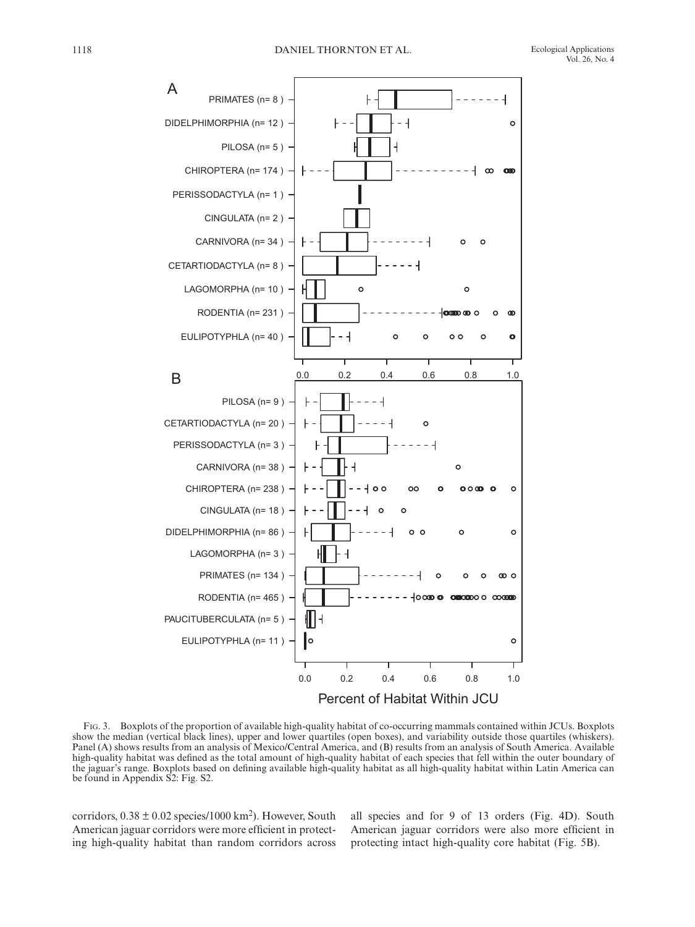Vol. 26, No. 4



Fig. 3. Boxplots of the proportion of available high-quality habitat of co-occurring mammals contained within JCUs. Boxplots show the median (vertical black lines), upper and lower quartiles (open boxes), and variability outside those quartiles (whiskers). Panel (A) shows results from an analysis of Mexico/Central America, and (B) results from an analysis of South America. Available high-quality habitat was defined as the total amount of high-quality habitat of each species that fell within the outer boundary of the jaguar's range. Boxplots based on defining available high-quality habitat as all high-quality habitat within Latin America can be found in Appendix S2: Fig. S2.

corridors,  $0.38 \pm 0.02$  species/1000 km<sup>2</sup>). However, South American jaguar corridors were more efficient in protecting high-quality habitat than random corridors across all species and for 9 of 13 orders (Fig. 4D). South American jaguar corridors were also more efficient in protecting intact high-quality core habitat (Fig. 5B).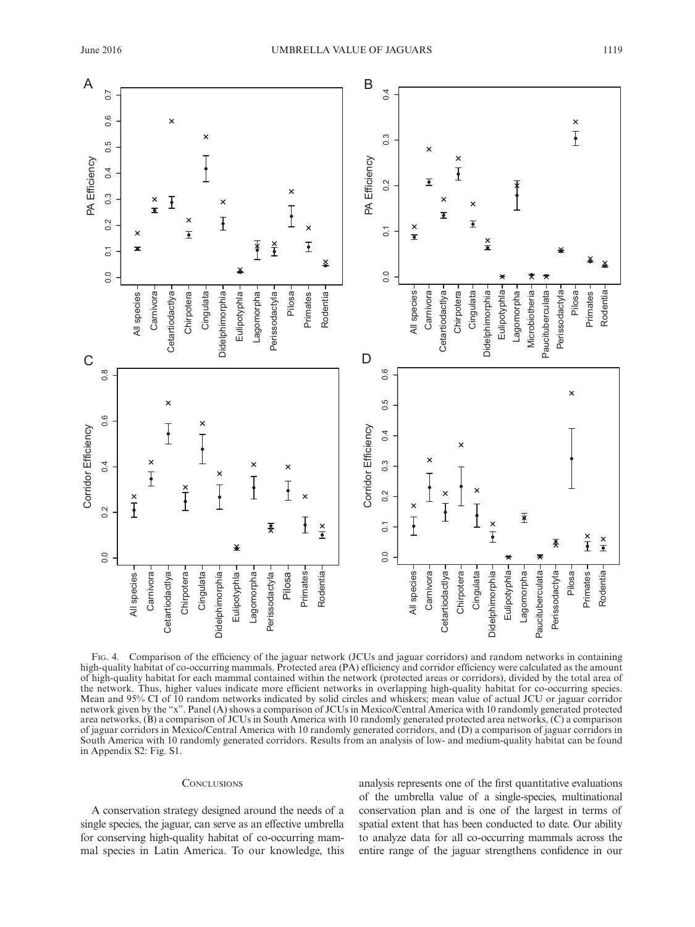

Fig. 4. Comparison of the efficiency of the jaguar network (JCUs and jaguar corridors) and random networks in containing high-quality habitat of co-occurring mammals. Protected area (PA) efficiency and corridor efficiency were calculated as the amount of high-quality habitat for each mammal contained within the network (protected areas or corridors), divided by the total area of the network. Thus, higher values indicate more efficient networks in overlapping high-quality habitat for co-occurring species. Mean and 95% CI of 10 random networks indicated by solid circles and whiskers; mean value of actual JCU or jaguar corridor network given by the "x". Panel (A) shows a comparison of JCUs in Mexico/Central America with 10 randomly generated protected area networks, (B) a comparison of JCUs in South America with 10 randomly generated protected area networks, (C) a comparison of jaguar corridors in Mexico/Central America with 10 randomly generated corridors, and (D) a comparison of jaguar corridors in South America with 10 randomly generated corridors. Results from an analysis of low- and medium-quality habitat can be found

# **CONCLUSIONS**

A conservation strategy designed around the needs of a single species, the jaguar, can serve as an effective umbrella for conserving high-quality habitat of co-occurring mammal species in Latin America. To our knowledge, this analysis represents one of the first quantitative evaluations of the umbrella value of a single-species, multinational conservation plan and is one of the largest in terms of spatial extent that has been conducted to date. Our ability to analyze data for all co-occurring mammals across the entire range of the jaguar strengthens confidence in our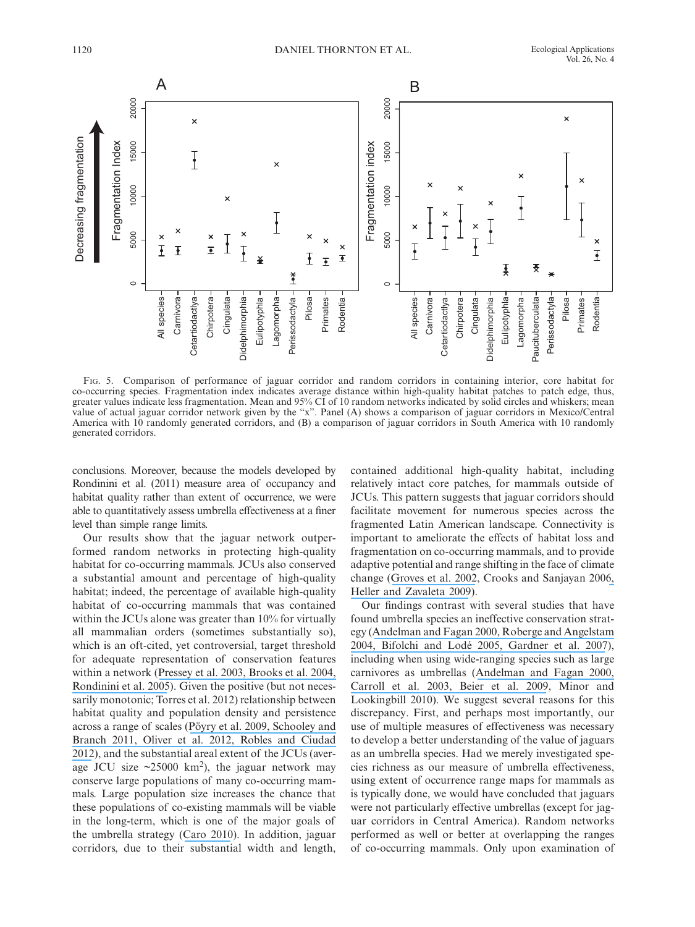

Fig. 5. Comparison of performance of jaguar corridor and random corridors in containing interior, core habitat for co-occurring species. Fragmentation index indicates average distance within high-quality habitat patches to patch edge, thus, greater values indicate less fragmentation. Mean and 95% CI of 10 random networks indicated by solid circles and whiskers; mean value of actual jaguar corridor network given by the "x". Panel (A) shows a comparison of jaguar corridors in Mexico/Central America with 10 randomly generated corridors, and (B) a comparison of jaguar corridors in South America with 10 randomly generated corridors.

conclusions. Moreover, because the models developed by Rondinini et al. (2011) measure area of occupancy and habitat quality rather than extent of occurrence, we were able to quantitatively assess umbrella effectiveness at a finer level than simple range limits.

Our results show that the jaguar network outperformed random networks in protecting high-quality habitat for co-occurring mammals. JCUs also conserved a substantial amount and percentage of high-quality habitat; indeed, the percentage of available high-quality habitat of co-occurring mammals that was contained within the JCUs alone was greater than 10% for virtually all mammalian orders (sometimes substantially so), which is an oft-cited, yet controversial, target threshold for adequate representation of conservation features within a network ([Pressey et](https://www.researchgate.net/publication/43469574_Formulating_conservation_targets_for_biodiversity_pattern_and_process_in_the_Cape_Floristic_Region_South_Africa?el=1_x_8&enrichId=rgreq-a71d93e25b003951777f45b40c81ef78-XXX&enrichSource=Y292ZXJQYWdlOzMwMzUzMTgzNTtBUzozNzU4MTE5NDYzNjkwMjVAMTQ2NjYxMTk1ODQ5MA==) al. 200[3, Brooks et](https://www.researchgate.net/publication/229988494_Species_Data_and_Conservation_Planning?el=1_x_8&enrichId=rgreq-a71d93e25b003951777f45b40c81ef78-XXX&enrichSource=Y292ZXJQYWdlOzMwMzUzMTgzNTtBUzozNzU4MTE5NDYzNjkwMjVAMTQ2NjYxMTk1ODQ5MA==) al. 200[4,](https://www.researchgate.net/publication/229920919_Habitat_Suitability_Models_and_the_Shortfall_in_Conservation_Planning_for_African_Vertebrates?el=1_x_8&enrichId=rgreq-a71d93e25b003951777f45b40c81ef78-XXX&enrichSource=Y292ZXJQYWdlOzMwMzUzMTgzNTtBUzozNzU4MTE5NDYzNjkwMjVAMTQ2NjYxMTk1ODQ5MA==) [Rondinini et](https://www.researchgate.net/publication/229920919_Habitat_Suitability_Models_and_the_Shortfall_in_Conservation_Planning_for_African_Vertebrates?el=1_x_8&enrichId=rgreq-a71d93e25b003951777f45b40c81ef78-XXX&enrichSource=Y292ZXJQYWdlOzMwMzUzMTgzNTtBUzozNzU4MTE5NDYzNjkwMjVAMTQ2NjYxMTk1ODQ5MA==) al. 2005). Given the positive (but not necessarily monotonic; Torres et al. 2012) relationship between habitat quality and population density and persistence across a range of scales ([Pöyry et](https://www.researchgate.net/publication/24242824_Relative_contributions_of_local_and_regional_factors_to_species_richness_and_total_density_of_butterflies_and_moths_in_semi-natural_grasslands?el=1_x_8&enrichId=rgreq-a71d93e25b003951777f45b40c81ef78-XXX&enrichSource=Y292ZXJQYWdlOzMwMzUzMTgzNTtBUzozNzU4MTE5NDYzNjkwMjVAMTQ2NjYxMTk1ODQ5MA==) al. 200[9, Schooley and](https://www.researchgate.net/publication/227180325_Habitat_quality_of_source_patches_and_connectivity_in_fragmented_landscapes?el=1_x_8&enrichId=rgreq-a71d93e25b003951777f45b40c81ef78-XXX&enrichSource=Y292ZXJQYWdlOzMwMzUzMTgzNTtBUzozNzU4MTE5NDYzNjkwMjVAMTQ2NjYxMTk1ODQ5MA==) [Branch 2011](https://www.researchgate.net/publication/227180325_Habitat_quality_of_source_patches_and_connectivity_in_fragmented_landscapes?el=1_x_8&enrichId=rgreq-a71d93e25b003951777f45b40c81ef78-XXX&enrichSource=Y292ZXJQYWdlOzMwMzUzMTgzNTtBUzozNzU4MTE5NDYzNjkwMjVAMTQ2NjYxMTk1ODQ5MA==)[, Oliver et](https://www.researchgate.net/publication/237049099_Population_density_but_not_stability_can_be_predicted_from_species_distribution_models?el=1_x_8&enrichId=rgreq-a71d93e25b003951777f45b40c81ef78-XXX&enrichSource=Y292ZXJQYWdlOzMwMzUzMTgzNTtBUzozNzU4MTE5NDYzNjkwMjVAMTQ2NjYxMTk1ODQ5MA==) al. 201[2, Robles and Ciudad](https://www.researchgate.net/publication/221769750_Influence_of_Habitat_Quality_Population_Size_Patch_Size_and_Connectivity_on_Patch-Occupancy_Dynamics_of_the_Middle_Spotted_Woodpecker?el=1_x_8&enrichId=rgreq-a71d93e25b003951777f45b40c81ef78-XXX&enrichSource=Y292ZXJQYWdlOzMwMzUzMTgzNTtBUzozNzU4MTE5NDYzNjkwMjVAMTQ2NjYxMTk1ODQ5MA==) [2012](https://www.researchgate.net/publication/221769750_Influence_of_Habitat_Quality_Population_Size_Patch_Size_and_Connectivity_on_Patch-Occupancy_Dynamics_of_the_Middle_Spotted_Woodpecker?el=1_x_8&enrichId=rgreq-a71d93e25b003951777f45b40c81ef78-XXX&enrichSource=Y292ZXJQYWdlOzMwMzUzMTgzNTtBUzozNzU4MTE5NDYzNjkwMjVAMTQ2NjYxMTk1ODQ5MA==)), and the substantial areal extent of the JCUs (average JCU size  $\approx$  25000 km<sup>2</sup>), the jaguar network may conserve large populations of many co-occurring mammals. Large population size increases the chance that these populations of co-existing mammals will be viable in the long-term, which is one of the major goals of the umbrella strategy ([Caro 2010](https://www.researchgate.net/publication/45258016_Conservation_by_Proxy_Indicator_Umbrella_Keystone_Flagship_and_Other_Surrogate_Species?el=1_x_8&enrichId=rgreq-a71d93e25b003951777f45b40c81ef78-XXX&enrichSource=Y292ZXJQYWdlOzMwMzUzMTgzNTtBUzozNzU4MTE5NDYzNjkwMjVAMTQ2NjYxMTk1ODQ5MA==)). In addition, jaguar corridors, due to their substantial width and length,

contained additional high-quality habitat, including relatively intact core patches, for mammals outside of JCUs. This pattern suggests that jaguar corridors should facilitate movement for numerous species across the fragmented Latin American landscape. Connectivity is important to ameliorate the effects of habitat loss and fragmentation on co-occurring mammals, and to provide adaptive potential and range shifting in the face of climate change ([Groves et](https://www.researchgate.net/publication/232686061_Planning_for_Biodiversity_Conservation_Putting_Conservation_Science_into_Practice?el=1_x_8&enrichId=rgreq-a71d93e25b003951777f45b40c81ef78-XXX&enrichSource=Y292ZXJQYWdlOzMwMzUzMTgzNTtBUzozNzU4MTE5NDYzNjkwMjVAMTQ2NjYxMTk1ODQ5MA==) al. 2002, Crooks and Sanjayan 200[6,](https://www.researchgate.net/publication/222557816_Biodiversity_management_in_the_face_of_climate_change_A_review_of_22_years_of_recommendations?el=1_x_8&enrichId=rgreq-a71d93e25b003951777f45b40c81ef78-XXX&enrichSource=Y292ZXJQYWdlOzMwMzUzMTgzNTtBUzozNzU4MTE5NDYzNjkwMjVAMTQ2NjYxMTk1ODQ5MA==) [Heller and Zavaleta 2009](https://www.researchgate.net/publication/222557816_Biodiversity_management_in_the_face_of_climate_change_A_review_of_22_years_of_recommendations?el=1_x_8&enrichId=rgreq-a71d93e25b003951777f45b40c81ef78-XXX&enrichSource=Y292ZXJQYWdlOzMwMzUzMTgzNTtBUzozNzU4MTE5NDYzNjkwMjVAMTQ2NjYxMTk1ODQ5MA==)).

Our findings contrast with several studies that have found umbrella species an ineffective conservation strategy ([Andelman and Fagan 2000](https://www.researchgate.net/publication/12505756_Umbrellas_and_flagships_Efficient_conservation_surrogates_or_expensive_mistakes?el=1_x_8&enrichId=rgreq-a71d93e25b003951777f45b40c81ef78-XXX&enrichSource=Y292ZXJQYWdlOzMwMzUzMTgzNTtBUzozNzU4MTE5NDYzNjkwMjVAMTQ2NjYxMTk1ODQ5MA==)[, Roberge and Angelstam](https://www.researchgate.net/publication/257127470_Usefulness_of_the_Umbrella_Species_Concept_as_a_Conservation_Tool?el=1_x_8&enrichId=rgreq-a71d93e25b003951777f45b40c81ef78-XXX&enrichSource=Y292ZXJQYWdlOzMwMzUzMTgzNTtBUzozNzU4MTE5NDYzNjkwMjVAMTQ2NjYxMTk1ODQ5MA==) [2004](https://www.researchgate.net/publication/257127470_Usefulness_of_the_Umbrella_Species_Concept_as_a_Conservation_Tool?el=1_x_8&enrichId=rgreq-a71d93e25b003951777f45b40c81ef78-XXX&enrichSource=Y292ZXJQYWdlOzMwMzUzMTgzNTtBUzozNzU4MTE5NDYzNjkwMjVAMTQ2NjYxMTk1ODQ5MA==)[, Bifolchi and Lodé 2005](https://www.researchgate.net/publication/223755836_Efficiency_of_conservation_shortcuts_An_investigation_with_otters_as_umbrella_species?el=1_x_8&enrichId=rgreq-a71d93e25b003951777f45b40c81ef78-XXX&enrichSource=Y292ZXJQYWdlOzMwMzUzMTgzNTtBUzozNzU4MTE5NDYzNjkwMjVAMTQ2NjYxMTk1ODQ5MA==)[, Gardner et](https://www.researchgate.net/publication/5677476_Conservation_Value_of_Multiple-Use_Areas_in_East_Africa?el=1_x_8&enrichId=rgreq-a71d93e25b003951777f45b40c81ef78-XXX&enrichSource=Y292ZXJQYWdlOzMwMzUzMTgzNTtBUzozNzU4MTE5NDYzNjkwMjVAMTQ2NjYxMTk1ODQ5MA==) al. 2007), including when using wide-ranging species such as large carnivores as umbrellas ([Andelman and Fagan 2000](https://www.researchgate.net/publication/12505756_Umbrellas_and_flagships_Efficient_conservation_surrogates_or_expensive_mistakes?el=1_x_8&enrichId=rgreq-a71d93e25b003951777f45b40c81ef78-XXX&enrichSource=Y292ZXJQYWdlOzMwMzUzMTgzNTtBUzozNzU4MTE5NDYzNjkwMjVAMTQ2NjYxMTk1ODQ5MA==)[,](https://www.researchgate.net/publication/252258247_Use_of_population_viability_analysis_and_reserve_selection_algorithms_in_regional_conservation_plans?el=1_x_8&enrichId=rgreq-a71d93e25b003951777f45b40c81ef78-XXX&enrichSource=Y292ZXJQYWdlOzMwMzUzMTgzNTtBUzozNzU4MTE5NDYzNjkwMjVAMTQ2NjYxMTk1ODQ5MA==) [Carroll et](https://www.researchgate.net/publication/252258247_Use_of_population_viability_analysis_and_reserve_selection_algorithms_in_regional_conservation_plans?el=1_x_8&enrichId=rgreq-a71d93e25b003951777f45b40c81ef78-XXX&enrichSource=Y292ZXJQYWdlOzMwMzUzMTgzNTtBUzozNzU4MTE5NDYzNjkwMjVAMTQ2NjYxMTk1ODQ5MA==) al. 200[3, Beier et](https://www.researchgate.net/publication/40691964_Uncertainty_Analysis_of_Least-Cost_Modeling_for_Designing_Wildlife_Linkages?el=1_x_8&enrichId=rgreq-a71d93e25b003951777f45b40c81ef78-XXX&enrichSource=Y292ZXJQYWdlOzMwMzUzMTgzNTtBUzozNzU4MTE5NDYzNjkwMjVAMTQ2NjYxMTk1ODQ5MA==) al. 2009, Minor and Lookingbill 2010). We suggest several reasons for this discrepancy. First, and perhaps most importantly, our use of multiple measures of effectiveness was necessary to develop a better understanding of the value of jaguars as an umbrella species. Had we merely investigated species richness as our measure of umbrella effectiveness, using extent of occurrence range maps for mammals as is typically done, we would have concluded that jaguars were not particularly effective umbrellas (except for jaguar corridors in Central America). Random networks performed as well or better at overlapping the ranges of co-occurring mammals. Only upon examination of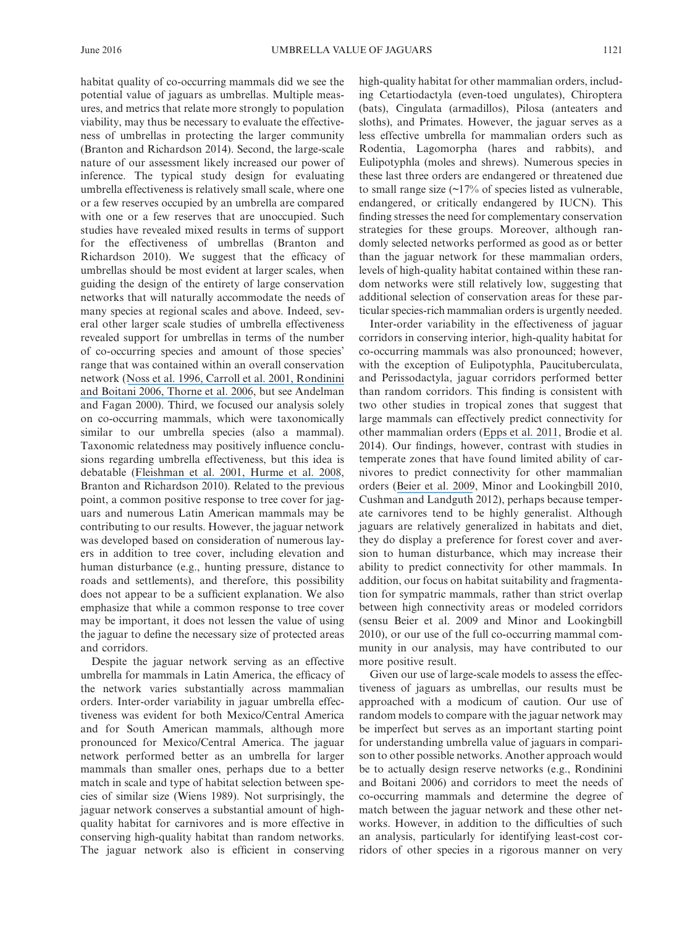potential value of jaguars as umbrellas. Multiple measures, and metrics that relate more strongly to population viability, may thus be necessary to evaluate the effectiveness of umbrellas in protecting the larger community (Branton and Richardson 2014). Second, the large-scale nature of our assessment likely increased our power of inference. The typical study design for evaluating umbrella effectiveness is relatively small scale, where one or a few reserves occupied by an umbrella are compared with one or a few reserves that are unoccupied. Such studies have revealed mixed results in terms of support for the effectiveness of umbrellas (Branton and Richardson 2010). We suggest that the efficacy of umbrellas should be most evident at larger scales, when guiding the design of the entirety of large conservation networks that will naturally accommodate the needs of many species at regional scales and above. Indeed, several other larger scale studies of umbrella effectiveness revealed support for umbrellas in terms of the number of co-occurring species and amount of those species' range that was contained within an overall conservation network (Noss et [al. 1996](https://www.researchgate.net/publication/249431998_Conservation_Biology_and_Carnivore_Conservation_in_the_Rocky_Mountains?el=1_x_8&enrichId=rgreq-a71d93e25b003951777f45b40c81ef78-XXX&enrichSource=Y292ZXJQYWdlOzMwMzUzMTgzNTtBUzozNzU4MTE5NDYzNjkwMjVAMTQ2NjYxMTk1ODQ5MA==)[, Carroll et](https://www.researchgate.net/publication/241603788_Carnivores_as_Focal_Species_for_Conservation_Planning_in_the_Rocky_Mountain_Region?el=1_x_8&enrichId=rgreq-a71d93e25b003951777f45b40c81ef78-XXX&enrichSource=Y292ZXJQYWdlOzMwMzUzMTgzNTtBUzozNzU4MTE5NDYzNjkwMjVAMTQ2NjYxMTk1ODQ5MA==) al. 200[1, Rondinini](https://www.researchgate.net/publication/6877199_Differences_in_the_Umbrella_Effects_of_African_Amphibians_and_Mammals_Based_on_Two_Estimators_of_the_Area_of_Occupancy?el=1_x_8&enrichId=rgreq-a71d93e25b003951777f45b40c81ef78-XXX&enrichSource=Y292ZXJQYWdlOzMwMzUzMTgzNTtBUzozNzU4MTE5NDYzNjkwMjVAMTQ2NjYxMTk1ODQ5MA==)  [and Boitani 2006](https://www.researchgate.net/publication/6877199_Differences_in_the_Umbrella_Effects_of_African_Amphibians_and_Mammals_Based_on_Two_Estimators_of_the_Area_of_Occupancy?el=1_x_8&enrichId=rgreq-a71d93e25b003951777f45b40c81ef78-XXX&enrichSource=Y292ZXJQYWdlOzMwMzUzMTgzNTtBUzozNzU4MTE5NDYzNjkwMjVAMTQ2NjYxMTk1ODQ5MA==)[, Thorne et](https://www.researchgate.net/publication/232691504_A_Conservation_Design_for_the_Central_Coast_of_California_and_the_Evaluation_of_Mountain_Lion_as_an_Umbrella_Species?el=1_x_8&enrichId=rgreq-a71d93e25b003951777f45b40c81ef78-XXX&enrichSource=Y292ZXJQYWdlOzMwMzUzMTgzNTtBUzozNzU4MTE5NDYzNjkwMjVAMTQ2NjYxMTk1ODQ5MA==) al. 2006, but see Andelman and Fagan 2000). Third, we focused our analysis solely on co-occurring mammals, which were taxonomically similar to our umbrella species (also a mammal). Taxonomic relatedness may positively influence conclusions regarding umbrella effectiveness, but this idea is debatable ([Fleishman et](https://www.researchgate.net/publication/250077084_Empirical_Validation_of_a_Method_for_Umbrella_Species_Selection?el=1_x_8&enrichId=rgreq-a71d93e25b003951777f45b40c81ef78-XXX&enrichSource=Y292ZXJQYWdlOzMwMzUzMTgzNTtBUzozNzU4MTE5NDYzNjkwMjVAMTQ2NjYxMTk1ODQ5MA==) al. 200[1, Hurme et](https://www.researchgate.net/publication/222669508_Role_of_the_Siberian_flying_squirrel_as_an_umbrella_species_for_biodiversity_in_northern_boreal_forests?el=1_x_8&enrichId=rgreq-a71d93e25b003951777f45b40c81ef78-XXX&enrichSource=Y292ZXJQYWdlOzMwMzUzMTgzNTtBUzozNzU4MTE5NDYzNjkwMjVAMTQ2NjYxMTk1ODQ5MA==) al. 2008, Branton and Richardson 2010). Related to the previous point, a common positive response to tree cover for jaguars and numerous Latin American mammals may be contributing to our results. However, the jaguar network was developed based on consideration of numerous layers in addition to tree cover, including elevation and human disturbance (e.g., hunting pressure, distance to roads and settlements), and therefore, this possibility does not appear to be a sufficient explanation. We also emphasize that while a common response to tree cover may be important, it does not lessen the value of using the jaguar to define the necessary size of protected areas and corridors.

habitat quality of co-occurring mammals did we see the

Despite the jaguar network serving as an effective umbrella for mammals in Latin America, the efficacy of the network varies substantially across mammalian orders. Inter-order variability in jaguar umbrella effectiveness was evident for both Mexico/Central America and for South American mammals, although more pronounced for Mexico/Central America. The jaguar network performed better as an umbrella for larger mammals than smaller ones, perhaps due to a better match in scale and type of habitat selection between species of similar size (Wiens 1989). Not surprisingly, the jaguar network conserves a substantial amount of highquality habitat for carnivores and is more effective in conserving high-quality habitat than random networks. The jaguar network also is efficient in conserving ing Cetartiodactyla (even-toed ungulates), Chiroptera (bats), Cingulata (armadillos), Pilosa (anteaters and sloths), and Primates. However, the jaguar serves as a less effective umbrella for mammalian orders such as Rodentia, Lagomorpha (hares and rabbits), and Eulipotyphla (moles and shrews). Numerous species in these last three orders are endangered or threatened due to small range size (~17% of species listed as vulnerable, endangered, or critically endangered by IUCN). This finding stresses the need for complementary conservation strategies for these groups. Moreover, although randomly selected networks performed as good as or better than the jaguar network for these mammalian orders, levels of high-quality habitat contained within these random networks were still relatively low, suggesting that additional selection of conservation areas for these particular species-rich mammalian orders is urgently needed.

Inter-order variability in the effectiveness of jaguar corridors in conserving interior, high-quality habitat for co-occurring mammals was also pronounced; however, with the exception of Eulipotyphla, Paucituberculata, and Perissodactyla, jaguar corridors performed better than random corridors. This finding is consistent with two other studies in tropical zones that suggest that large mammals can effectively predict connectivity for other mammalian orders (Epps et [al. 2011](https://www.researchgate.net/publication/228402036_An_empirical_evaluation_of_the_African_elephant_as_a_focal_species_for_connectivity_planning_in_East_Africa?el=1_x_8&enrichId=rgreq-a71d93e25b003951777f45b40c81ef78-XXX&enrichSource=Y292ZXJQYWdlOzMwMzUzMTgzNTtBUzozNzU4MTE5NDYzNjkwMjVAMTQ2NjYxMTk1ODQ5MA==), Brodie et al. 2014). Our findings, however, contrast with studies in temperate zones that have found limited ability of carnivores to predict connectivity for other mammalian orders ([Beier et](https://www.researchgate.net/publication/40691964_Uncertainty_Analysis_of_Least-Cost_Modeling_for_Designing_Wildlife_Linkages?el=1_x_8&enrichId=rgreq-a71d93e25b003951777f45b40c81ef78-XXX&enrichSource=Y292ZXJQYWdlOzMwMzUzMTgzNTtBUzozNzU4MTE5NDYzNjkwMjVAMTQ2NjYxMTk1ODQ5MA==) al. 2009, Minor and Lookingbill 2010, Cushman and Landguth 2012), perhaps because temperate carnivores tend to be highly generalist. Although jaguars are relatively generalized in habitats and diet, they do display a preference for forest cover and aversion to human disturbance, which may increase their ability to predict connectivity for other mammals. In addition, our focus on habitat suitability and fragmentation for sympatric mammals, rather than strict overlap between high connectivity areas or modeled corridors (sensu Beier et al. 2009 and Minor and Lookingbill 2010), or our use of the full co-occurring mammal community in our analysis, may have contributed to our more positive result.

Given our use of large-scale models to assess the effectiveness of jaguars as umbrellas, our results must be approached with a modicum of caution. Our use of random models to compare with the jaguar network may be imperfect but serves as an important starting point for understanding umbrella value of jaguars in comparison to other possible networks. Another approach would be to actually design reserve networks (e.g., Rondinini and Boitani 2006) and corridors to meet the needs of co-occurring mammals and determine the degree of match between the jaguar network and these other networks. However, in addition to the difficulties of such an analysis, particularly for identifying least-cost corridors of other species in a rigorous manner on very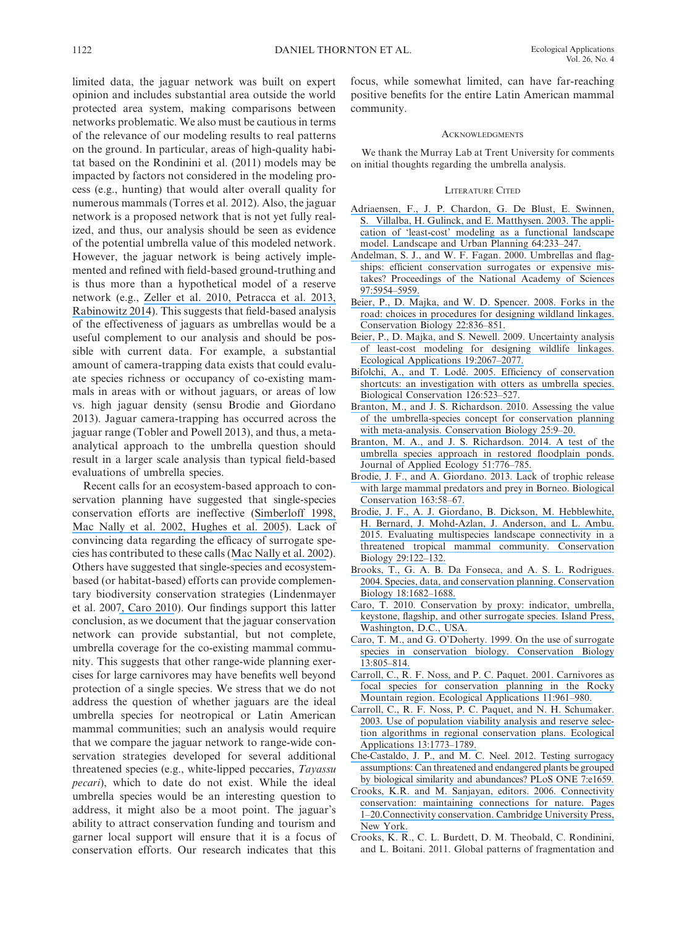limited data, the jaguar network was built on expert opinion and includes substantial area outside the world protected area system, making comparisons between networks problematic. We also must be cautious in terms of the relevance of our modeling results to real patterns on the ground. In particular, areas of high-quality habitat based on the Rondinini et al. (2011) models may be impacted by factors not considered in the modeling process (e.g., hunting) that would alter overall quality for numerous mammals (Torres et al. 2012). Also, the jaguar network is a proposed network that is not yet fully realized, and thus, our analysis should be seen as evidence of the potential umbrella value of this modeled network. However, the jaguar network is being actively implemented and refined with field-based ground-truthing and is thus more than a hypothetical model of a reserve network (e.g., [Zeller et](https://www.researchgate.net/publication/222983709_A_range-wide_model_of_landscape_connectivity_and_conservation_for_the_jaguar_Panthera_onca?el=1_x_8&enrichId=rgreq-a71d93e25b003951777f45b40c81ef78-XXX&enrichSource=Y292ZXJQYWdlOzMwMzUzMTgzNTtBUzozNzU4MTE5NDYzNjkwMjVAMTQ2NjYxMTk1ODQ5MA==) al. 201[0, Petracca et](https://www.researchgate.net/publication/259971112_Occupancy_estimation_of_jaguar_Panthera_onca_to_assess_the_value_of_east-central_Mexico_as_a_jaguar_corridor?el=1_x_8&enrichId=rgreq-a71d93e25b003951777f45b40c81ef78-XXX&enrichSource=Y292ZXJQYWdlOzMwMzUzMTgzNTtBUzozNzU4MTE5NDYzNjkwMjVAMTQ2NjYxMTk1ODQ5MA==) al. 201[3,](https://www.researchgate.net/publication/288081341_An_indomitable_beast_The_remarkable_journey_of_the_Jaguar?el=1_x_8&enrichId=rgreq-a71d93e25b003951777f45b40c81ef78-XXX&enrichSource=Y292ZXJQYWdlOzMwMzUzMTgzNTtBUzozNzU4MTE5NDYzNjkwMjVAMTQ2NjYxMTk1ODQ5MA==) [Rabinowitz 2014](https://www.researchgate.net/publication/288081341_An_indomitable_beast_The_remarkable_journey_of_the_Jaguar?el=1_x_8&enrichId=rgreq-a71d93e25b003951777f45b40c81ef78-XXX&enrichSource=Y292ZXJQYWdlOzMwMzUzMTgzNTtBUzozNzU4MTE5NDYzNjkwMjVAMTQ2NjYxMTk1ODQ5MA==)). This suggests that field-based analysis of the effectiveness of jaguars as umbrellas would be a useful complement to our analysis and should be possible with current data. For example, a substantial amount of camera-trapping data exists that could evaluate species richness or occupancy of co-existing mammals in areas with or without jaguars, or areas of low vs. high jaguar density (sensu Brodie and Giordano 2013). Jaguar camera-trapping has occurred across the jaguar range (Tobler and Powell 2013), and thus, a metaanalytical approach to the umbrella question should result in a larger scale analysis than typical field-based evaluations of umbrella species.

Recent calls for an ecosystem-based approach to conservation planning have suggested that single-species conservation efforts are ineffective ([Simberloff 1998](https://www.researchgate.net/publication/223837047_Flagships_umbrellas_and_keystones_Is_single-species_management_passe_in_the_landscape_era?el=1_x_8&enrichId=rgreq-a71d93e25b003951777f45b40c81ef78-XXX&enrichSource=Y292ZXJQYWdlOzMwMzUzMTgzNTtBUzozNzU4MTE5NDYzNjkwMjVAMTQ2NjYxMTk1ODQ5MA==)[,](https://www.researchgate.net/publication/250077337_How_Well_Do_Ecosystem-Based_Planning_Units_Represent_Different_Components_of_Biodiversity?el=1_x_8&enrichId=rgreq-a71d93e25b003951777f45b40c81ef78-XXX&enrichSource=Y292ZXJQYWdlOzMwMzUzMTgzNTtBUzozNzU4MTE5NDYzNjkwMjVAMTQ2NjYxMTk1ODQ5MA==) [Mac Nally et](https://www.researchgate.net/publication/250077337_How_Well_Do_Ecosystem-Based_Planning_Units_Represent_Different_Components_of_Biodiversity?el=1_x_8&enrichId=rgreq-a71d93e25b003951777f45b40c81ef78-XXX&enrichSource=Y292ZXJQYWdlOzMwMzUzMTgzNTtBUzozNzU4MTE5NDYzNjkwMjVAMTQ2NjYxMTk1ODQ5MA==) al. 200[2, Hughes et](https://www.researchgate.net/publication/7080936_New_paradigms_for_supporting_the_resilience_of_marine_ecosystems?el=1_x_8&enrichId=rgreq-a71d93e25b003951777f45b40c81ef78-XXX&enrichSource=Y292ZXJQYWdlOzMwMzUzMTgzNTtBUzozNzU4MTE5NDYzNjkwMjVAMTQ2NjYxMTk1ODQ5MA==) al. 2005). Lack of convincing data regarding the efficacy of surrogate species has contributed to these calls ([Mac Nally et](https://www.researchgate.net/publication/250077337_How_Well_Do_Ecosystem-Based_Planning_Units_Represent_Different_Components_of_Biodiversity?el=1_x_8&enrichId=rgreq-a71d93e25b003951777f45b40c81ef78-XXX&enrichSource=Y292ZXJQYWdlOzMwMzUzMTgzNTtBUzozNzU4MTE5NDYzNjkwMjVAMTQ2NjYxMTk1ODQ5MA==) al. 2002). Others have suggested that single-species and ecosystembased (or habitat-based) efforts can provide complementary biodiversity conservation strategies (Lindenmayer et al. 200[7, Caro 2010](https://www.researchgate.net/publication/45258016_Conservation_by_Proxy_Indicator_Umbrella_Keystone_Flagship_and_Other_Surrogate_Species?el=1_x_8&enrichId=rgreq-a71d93e25b003951777f45b40c81ef78-XXX&enrichSource=Y292ZXJQYWdlOzMwMzUzMTgzNTtBUzozNzU4MTE5NDYzNjkwMjVAMTQ2NjYxMTk1ODQ5MA==)). Our findings support this latter conclusion, as we document that the jaguar conservation network can provide substantial, but not complete, umbrella coverage for the co-existing mammal community. This suggests that other range-wide planning exercises for large carnivores may have benefits well beyond protection of a single species. We stress that we do not address the question of whether jaguars are the ideal umbrella species for neotropical or Latin American mammal communities; such an analysis would require that we compare the jaguar network to range-wide conservation strategies developed for several additional threatened species (e.g., white-lipped peccaries, *Tayassu pecari*), which to date do not exist. While the ideal umbrella species would be an interesting question to address, it might also be a moot point. The jaguar's ability to attract conservation funding and tourism and garner local support will ensure that it is a focus of conservation efforts. Our research indicates that this

focus, while somewhat limited, can have far-reaching positive benefits for the entire Latin American mammal community.

#### ACKNOWLEDGMENTS

We thank the Murray Lab at Trent University for comments on initial thoughts regarding the umbrella analysis.

#### LITERATURE CITED

- [Adriaensen, F., J. P. Chardon, G. De Blust, E. Swinnen,](https://www.researchgate.net/publication/222701876_The_Application_of_) [S. Villalba, H. Gulinck, and E. Matthysen. 2003. The appli](https://www.researchgate.net/publication/222701876_The_Application_of_)[cation of 'least-cost' modeling as a functional landscape](https://www.researchgate.net/publication/222701876_The_Application_of_) [model. Landscape and Urban Planning 64:233–247.](https://www.researchgate.net/publication/222701876_The_Application_of_)
- [Andelman, S. J., and W. F. Fagan. 2000. Umbrellas and flag](https://www.researchgate.net/publication/12505756_Umbrellas_and_flagships_Efficient_conservation_surrogates_or_expensive_mistakes?el=1_x_8&enrichId=rgreq-a71d93e25b003951777f45b40c81ef78-XXX&enrichSource=Y292ZXJQYWdlOzMwMzUzMTgzNTtBUzozNzU4MTE5NDYzNjkwMjVAMTQ2NjYxMTk1ODQ5MA==)[ships: efficient conservation surrogates or expensive mis](https://www.researchgate.net/publication/12505756_Umbrellas_and_flagships_Efficient_conservation_surrogates_or_expensive_mistakes?el=1_x_8&enrichId=rgreq-a71d93e25b003951777f45b40c81ef78-XXX&enrichSource=Y292ZXJQYWdlOzMwMzUzMTgzNTtBUzozNzU4MTE5NDYzNjkwMjVAMTQ2NjYxMTk1ODQ5MA==)[takes? Proceedings of the National Academy of Sciences](https://www.researchgate.net/publication/12505756_Umbrellas_and_flagships_Efficient_conservation_surrogates_or_expensive_mistakes?el=1_x_8&enrichId=rgreq-a71d93e25b003951777f45b40c81ef78-XXX&enrichSource=Y292ZXJQYWdlOzMwMzUzMTgzNTtBUzozNzU4MTE5NDYzNjkwMjVAMTQ2NjYxMTk1ODQ5MA==) [97:5954–5959.](https://www.researchgate.net/publication/12505756_Umbrellas_and_flagships_Efficient_conservation_surrogates_or_expensive_mistakes?el=1_x_8&enrichId=rgreq-a71d93e25b003951777f45b40c81ef78-XXX&enrichSource=Y292ZXJQYWdlOzMwMzUzMTgzNTtBUzozNzU4MTE5NDYzNjkwMjVAMTQ2NjYxMTk1ODQ5MA==)
- [Beier, P., D. Majka, and W. D. Spencer. 2008. Forks in the](https://www.researchgate.net/publication/5313387_Forks_in_the_Road_Choices_in_Procedures_for_Designing_Wildland_Linkages?el=1_x_8&enrichId=rgreq-a71d93e25b003951777f45b40c81ef78-XXX&enrichSource=Y292ZXJQYWdlOzMwMzUzMTgzNTtBUzozNzU4MTE5NDYzNjkwMjVAMTQ2NjYxMTk1ODQ5MA==) [road: choices in procedures for designing wildland linkages.](https://www.researchgate.net/publication/5313387_Forks_in_the_Road_Choices_in_Procedures_for_Designing_Wildland_Linkages?el=1_x_8&enrichId=rgreq-a71d93e25b003951777f45b40c81ef78-XXX&enrichSource=Y292ZXJQYWdlOzMwMzUzMTgzNTtBUzozNzU4MTE5NDYzNjkwMjVAMTQ2NjYxMTk1ODQ5MA==) [Conservation Biology 22:836–851.](https://www.researchgate.net/publication/5313387_Forks_in_the_Road_Choices_in_Procedures_for_Designing_Wildland_Linkages?el=1_x_8&enrichId=rgreq-a71d93e25b003951777f45b40c81ef78-XXX&enrichSource=Y292ZXJQYWdlOzMwMzUzMTgzNTtBUzozNzU4MTE5NDYzNjkwMjVAMTQ2NjYxMTk1ODQ5MA==)
- [Beier, P., D. Majka, and S. Newell. 2009. Uncertainty analysis](https://www.researchgate.net/publication/40691964_Uncertainty_Analysis_of_Least-Cost_Modeling_for_Designing_Wildlife_Linkages?el=1_x_8&enrichId=rgreq-a71d93e25b003951777f45b40c81ef78-XXX&enrichSource=Y292ZXJQYWdlOzMwMzUzMTgzNTtBUzozNzU4MTE5NDYzNjkwMjVAMTQ2NjYxMTk1ODQ5MA==) [of least-cost modeling for designing wildlife linkages.](https://www.researchgate.net/publication/40691964_Uncertainty_Analysis_of_Least-Cost_Modeling_for_Designing_Wildlife_Linkages?el=1_x_8&enrichId=rgreq-a71d93e25b003951777f45b40c81ef78-XXX&enrichSource=Y292ZXJQYWdlOzMwMzUzMTgzNTtBUzozNzU4MTE5NDYzNjkwMjVAMTQ2NjYxMTk1ODQ5MA==) [Ecological Applications 19:2067–2077.](https://www.researchgate.net/publication/40691964_Uncertainty_Analysis_of_Least-Cost_Modeling_for_Designing_Wildlife_Linkages?el=1_x_8&enrichId=rgreq-a71d93e25b003951777f45b40c81ef78-XXX&enrichSource=Y292ZXJQYWdlOzMwMzUzMTgzNTtBUzozNzU4MTE5NDYzNjkwMjVAMTQ2NjYxMTk1ODQ5MA==)
- [Bifolchi, A., and T. Lodé. 2005. Efficiency of conservation](https://www.researchgate.net/publication/223755836_Efficiency_of_conservation_shortcuts_An_investigation_with_otters_as_umbrella_species?el=1_x_8&enrichId=rgreq-a71d93e25b003951777f45b40c81ef78-XXX&enrichSource=Y292ZXJQYWdlOzMwMzUzMTgzNTtBUzozNzU4MTE5NDYzNjkwMjVAMTQ2NjYxMTk1ODQ5MA==) [shortcuts: an investigation with otters as umbrella species.](https://www.researchgate.net/publication/223755836_Efficiency_of_conservation_shortcuts_An_investigation_with_otters_as_umbrella_species?el=1_x_8&enrichId=rgreq-a71d93e25b003951777f45b40c81ef78-XXX&enrichSource=Y292ZXJQYWdlOzMwMzUzMTgzNTtBUzozNzU4MTE5NDYzNjkwMjVAMTQ2NjYxMTk1ODQ5MA==) [Biological Conservation 126:523–527.](https://www.researchgate.net/publication/223755836_Efficiency_of_conservation_shortcuts_An_investigation_with_otters_as_umbrella_species?el=1_x_8&enrichId=rgreq-a71d93e25b003951777f45b40c81ef78-XXX&enrichSource=Y292ZXJQYWdlOzMwMzUzMTgzNTtBUzozNzU4MTE5NDYzNjkwMjVAMTQ2NjYxMTk1ODQ5MA==)
- [Branton, M., and J. S. Richardson. 2010. Assessing the value](https://www.researchgate.net/publication/49623034_Assessing_the_Value_of_the_Umbrella-Species_Concept_for_Conservation_Planning_with_Meta-Analysis?el=1_x_8&enrichId=rgreq-a71d93e25b003951777f45b40c81ef78-XXX&enrichSource=Y292ZXJQYWdlOzMwMzUzMTgzNTtBUzozNzU4MTE5NDYzNjkwMjVAMTQ2NjYxMTk1ODQ5MA==) [of the umbrella-species concept for conservation planning](https://www.researchgate.net/publication/49623034_Assessing_the_Value_of_the_Umbrella-Species_Concept_for_Conservation_Planning_with_Meta-Analysis?el=1_x_8&enrichId=rgreq-a71d93e25b003951777f45b40c81ef78-XXX&enrichSource=Y292ZXJQYWdlOzMwMzUzMTgzNTtBUzozNzU4MTE5NDYzNjkwMjVAMTQ2NjYxMTk1ODQ5MA==) [with meta-analysis. Conservation Biology 25:9–20.](https://www.researchgate.net/publication/49623034_Assessing_the_Value_of_the_Umbrella-Species_Concept_for_Conservation_Planning_with_Meta-Analysis?el=1_x_8&enrichId=rgreq-a71d93e25b003951777f45b40c81ef78-XXX&enrichSource=Y292ZXJQYWdlOzMwMzUzMTgzNTtBUzozNzU4MTE5NDYzNjkwMjVAMTQ2NjYxMTk1ODQ5MA==)
- [Branton, M. A., and J. S. Richardson. 2014. A test of the](https://www.researchgate.net/publication/260607346_A_test_of_the_umbrella_species_approach_in_restored_floodplain_ponds?el=1_x_8&enrichId=rgreq-a71d93e25b003951777f45b40c81ef78-XXX&enrichSource=Y292ZXJQYWdlOzMwMzUzMTgzNTtBUzozNzU4MTE5NDYzNjkwMjVAMTQ2NjYxMTk1ODQ5MA==) [umbrella species approach in restored floodplain ponds.](https://www.researchgate.net/publication/260607346_A_test_of_the_umbrella_species_approach_in_restored_floodplain_ponds?el=1_x_8&enrichId=rgreq-a71d93e25b003951777f45b40c81ef78-XXX&enrichSource=Y292ZXJQYWdlOzMwMzUzMTgzNTtBUzozNzU4MTE5NDYzNjkwMjVAMTQ2NjYxMTk1ODQ5MA==) [Journal of Applied Ecology 51:776–785.](https://www.researchgate.net/publication/260607346_A_test_of_the_umbrella_species_approach_in_restored_floodplain_ponds?el=1_x_8&enrichId=rgreq-a71d93e25b003951777f45b40c81ef78-XXX&enrichSource=Y292ZXJQYWdlOzMwMzUzMTgzNTtBUzozNzU4MTE5NDYzNjkwMjVAMTQ2NjYxMTk1ODQ5MA==)
- [Brodie, J. F., and A. Giordano. 2013. Lack of trophic release](https://www.researchgate.net/publication/235968667_Lack_of_trophic_release_with_large_mammal_predators_and_prey_in_Borneo?el=1_x_8&enrichId=rgreq-a71d93e25b003951777f45b40c81ef78-XXX&enrichSource=Y292ZXJQYWdlOzMwMzUzMTgzNTtBUzozNzU4MTE5NDYzNjkwMjVAMTQ2NjYxMTk1ODQ5MA==) [with large mammal predators and prey in Borneo. Biological](https://www.researchgate.net/publication/235968667_Lack_of_trophic_release_with_large_mammal_predators_and_prey_in_Borneo?el=1_x_8&enrichId=rgreq-a71d93e25b003951777f45b40c81ef78-XXX&enrichSource=Y292ZXJQYWdlOzMwMzUzMTgzNTtBUzozNzU4MTE5NDYzNjkwMjVAMTQ2NjYxMTk1ODQ5MA==) [Conservation 163:58–67.](https://www.researchgate.net/publication/235968667_Lack_of_trophic_release_with_large_mammal_predators_and_prey_in_Borneo?el=1_x_8&enrichId=rgreq-a71d93e25b003951777f45b40c81ef78-XXX&enrichSource=Y292ZXJQYWdlOzMwMzUzMTgzNTtBUzozNzU4MTE5NDYzNjkwMjVAMTQ2NjYxMTk1ODQ5MA==)
- [Brodie, J. F., A. J. Giordano, B. Dickson, M. Hebblewhite,](https://www.researchgate.net/publication/264382862_Evaluating_Multispecies_Landscape_Connectivity_in_a_Threatened_Tropical_Mammal_Community?el=1_x_8&enrichId=rgreq-a71d93e25b003951777f45b40c81ef78-XXX&enrichSource=Y292ZXJQYWdlOzMwMzUzMTgzNTtBUzozNzU4MTE5NDYzNjkwMjVAMTQ2NjYxMTk1ODQ5MA==) [H. Bernard, J. Mohd-Azlan, J. Anderson, and L. Ambu.](https://www.researchgate.net/publication/264382862_Evaluating_Multispecies_Landscape_Connectivity_in_a_Threatened_Tropical_Mammal_Community?el=1_x_8&enrichId=rgreq-a71d93e25b003951777f45b40c81ef78-XXX&enrichSource=Y292ZXJQYWdlOzMwMzUzMTgzNTtBUzozNzU4MTE5NDYzNjkwMjVAMTQ2NjYxMTk1ODQ5MA==) [2015. Evaluating multispecies landscape connectivity in a](https://www.researchgate.net/publication/264382862_Evaluating_Multispecies_Landscape_Connectivity_in_a_Threatened_Tropical_Mammal_Community?el=1_x_8&enrichId=rgreq-a71d93e25b003951777f45b40c81ef78-XXX&enrichSource=Y292ZXJQYWdlOzMwMzUzMTgzNTtBUzozNzU4MTE5NDYzNjkwMjVAMTQ2NjYxMTk1ODQ5MA==) [threatened tropical mammal community. Conservation](https://www.researchgate.net/publication/264382862_Evaluating_Multispecies_Landscape_Connectivity_in_a_Threatened_Tropical_Mammal_Community?el=1_x_8&enrichId=rgreq-a71d93e25b003951777f45b40c81ef78-XXX&enrichSource=Y292ZXJQYWdlOzMwMzUzMTgzNTtBUzozNzU4MTE5NDYzNjkwMjVAMTQ2NjYxMTk1ODQ5MA==) [Biology 29:122–132.](https://www.researchgate.net/publication/264382862_Evaluating_Multispecies_Landscape_Connectivity_in_a_Threatened_Tropical_Mammal_Community?el=1_x_8&enrichId=rgreq-a71d93e25b003951777f45b40c81ef78-XXX&enrichSource=Y292ZXJQYWdlOzMwMzUzMTgzNTtBUzozNzU4MTE5NDYzNjkwMjVAMTQ2NjYxMTk1ODQ5MA==)
- [Brooks, T., G. A. B. Da Fonseca, and A. S. L. Rodrigues.](https://www.researchgate.net/publication/229988494_Species_Data_and_Conservation_Planning?el=1_x_8&enrichId=rgreq-a71d93e25b003951777f45b40c81ef78-XXX&enrichSource=Y292ZXJQYWdlOzMwMzUzMTgzNTtBUzozNzU4MTE5NDYzNjkwMjVAMTQ2NjYxMTk1ODQ5MA==) [2004. Species, data, and conservation planning. Conservation](https://www.researchgate.net/publication/229988494_Species_Data_and_Conservation_Planning?el=1_x_8&enrichId=rgreq-a71d93e25b003951777f45b40c81ef78-XXX&enrichSource=Y292ZXJQYWdlOzMwMzUzMTgzNTtBUzozNzU4MTE5NDYzNjkwMjVAMTQ2NjYxMTk1ODQ5MA==) [Biology 18:1682–1688.](https://www.researchgate.net/publication/229988494_Species_Data_and_Conservation_Planning?el=1_x_8&enrichId=rgreq-a71d93e25b003951777f45b40c81ef78-XXX&enrichSource=Y292ZXJQYWdlOzMwMzUzMTgzNTtBUzozNzU4MTE5NDYzNjkwMjVAMTQ2NjYxMTk1ODQ5MA==)
- [Caro, T. 2010. Conservation by proxy: indicator, umbrella,](https://www.researchgate.net/publication/45258016_Conservation_by_Proxy_Indicator_Umbrella_Keystone_Flagship_and_Other_Surrogate_Species?el=1_x_8&enrichId=rgreq-a71d93e25b003951777f45b40c81ef78-XXX&enrichSource=Y292ZXJQYWdlOzMwMzUzMTgzNTtBUzozNzU4MTE5NDYzNjkwMjVAMTQ2NjYxMTk1ODQ5MA==) [keystone, flagship, and other surrogate species. Island Press,](https://www.researchgate.net/publication/45258016_Conservation_by_Proxy_Indicator_Umbrella_Keystone_Flagship_and_Other_Surrogate_Species?el=1_x_8&enrichId=rgreq-a71d93e25b003951777f45b40c81ef78-XXX&enrichSource=Y292ZXJQYWdlOzMwMzUzMTgzNTtBUzozNzU4MTE5NDYzNjkwMjVAMTQ2NjYxMTk1ODQ5MA==) [Washington, D.C., USA.](https://www.researchgate.net/publication/45258016_Conservation_by_Proxy_Indicator_Umbrella_Keystone_Flagship_and_Other_Surrogate_Species?el=1_x_8&enrichId=rgreq-a71d93e25b003951777f45b40c81ef78-XXX&enrichSource=Y292ZXJQYWdlOzMwMzUzMTgzNTtBUzozNzU4MTE5NDYzNjkwMjVAMTQ2NjYxMTk1ODQ5MA==)
- [Caro, T. M., and G. O'Doherty. 1999. On the use of surrogate](https://www.researchgate.net/publication/227661443_On_the_Use_of_Surrogate_Species_in_Conservation_Biology?el=1_x_8&enrichId=rgreq-a71d93e25b003951777f45b40c81ef78-XXX&enrichSource=Y292ZXJQYWdlOzMwMzUzMTgzNTtBUzozNzU4MTE5NDYzNjkwMjVAMTQ2NjYxMTk1ODQ5MA==) [species in conservation biology. Conservation Biology](https://www.researchgate.net/publication/227661443_On_the_Use_of_Surrogate_Species_in_Conservation_Biology?el=1_x_8&enrichId=rgreq-a71d93e25b003951777f45b40c81ef78-XXX&enrichSource=Y292ZXJQYWdlOzMwMzUzMTgzNTtBUzozNzU4MTE5NDYzNjkwMjVAMTQ2NjYxMTk1ODQ5MA==) [13:805–814.](https://www.researchgate.net/publication/227661443_On_the_Use_of_Surrogate_Species_in_Conservation_Biology?el=1_x_8&enrichId=rgreq-a71d93e25b003951777f45b40c81ef78-XXX&enrichSource=Y292ZXJQYWdlOzMwMzUzMTgzNTtBUzozNzU4MTE5NDYzNjkwMjVAMTQ2NjYxMTk1ODQ5MA==)
- [Carroll, C., R. F. Noss, and P. C. Paquet. 2001. Carnivores as](https://www.researchgate.net/publication/241603788_Carnivores_as_Focal_Species_for_Conservation_Planning_in_the_Rocky_Mountain_Region?el=1_x_8&enrichId=rgreq-a71d93e25b003951777f45b40c81ef78-XXX&enrichSource=Y292ZXJQYWdlOzMwMzUzMTgzNTtBUzozNzU4MTE5NDYzNjkwMjVAMTQ2NjYxMTk1ODQ5MA==) [focal species for conservation planning in the Rocky](https://www.researchgate.net/publication/241603788_Carnivores_as_Focal_Species_for_Conservation_Planning_in_the_Rocky_Mountain_Region?el=1_x_8&enrichId=rgreq-a71d93e25b003951777f45b40c81ef78-XXX&enrichSource=Y292ZXJQYWdlOzMwMzUzMTgzNTtBUzozNzU4MTE5NDYzNjkwMjVAMTQ2NjYxMTk1ODQ5MA==) [Mountain region. Ecological Applications 11:961–980.](https://www.researchgate.net/publication/241603788_Carnivores_as_Focal_Species_for_Conservation_Planning_in_the_Rocky_Mountain_Region?el=1_x_8&enrichId=rgreq-a71d93e25b003951777f45b40c81ef78-XXX&enrichSource=Y292ZXJQYWdlOzMwMzUzMTgzNTtBUzozNzU4MTE5NDYzNjkwMjVAMTQ2NjYxMTk1ODQ5MA==)
- [Carroll, C., R. F. Noss, P. C. Paquet, and N. H. Schumaker.](https://www.researchgate.net/publication/252258247_Use_of_population_viability_analysis_and_reserve_selection_algorithms_in_regional_conservation_plans?el=1_x_8&enrichId=rgreq-a71d93e25b003951777f45b40c81ef78-XXX&enrichSource=Y292ZXJQYWdlOzMwMzUzMTgzNTtBUzozNzU4MTE5NDYzNjkwMjVAMTQ2NjYxMTk1ODQ5MA==) [2003. Use of population viability analysis and reserve selec](https://www.researchgate.net/publication/252258247_Use_of_population_viability_analysis_and_reserve_selection_algorithms_in_regional_conservation_plans?el=1_x_8&enrichId=rgreq-a71d93e25b003951777f45b40c81ef78-XXX&enrichSource=Y292ZXJQYWdlOzMwMzUzMTgzNTtBUzozNzU4MTE5NDYzNjkwMjVAMTQ2NjYxMTk1ODQ5MA==)[tion algorithms in regional conservation plans. Ecological](https://www.researchgate.net/publication/252258247_Use_of_population_viability_analysis_and_reserve_selection_algorithms_in_regional_conservation_plans?el=1_x_8&enrichId=rgreq-a71d93e25b003951777f45b40c81ef78-XXX&enrichSource=Y292ZXJQYWdlOzMwMzUzMTgzNTtBUzozNzU4MTE5NDYzNjkwMjVAMTQ2NjYxMTk1ODQ5MA==) [Applications 13:1773–1789.](https://www.researchgate.net/publication/252258247_Use_of_population_viability_analysis_and_reserve_selection_algorithms_in_regional_conservation_plans?el=1_x_8&enrichId=rgreq-a71d93e25b003951777f45b40c81ef78-XXX&enrichSource=Y292ZXJQYWdlOzMwMzUzMTgzNTtBUzozNzU4MTE5NDYzNjkwMjVAMTQ2NjYxMTk1ODQ5MA==)
- [Che-Castaldo, J. P., and M. C. Neel. 2012. Testing surrogacy](https://www.researchgate.net/publication/233915664_Testing_Surrogacy_Assumptions_Can_Threatened_and_Endangered_Plants_Be_Grouped_by_Biological_Similarity_and_Abundances?el=1_x_8&enrichId=rgreq-a71d93e25b003951777f45b40c81ef78-XXX&enrichSource=Y292ZXJQYWdlOzMwMzUzMTgzNTtBUzozNzU4MTE5NDYzNjkwMjVAMTQ2NjYxMTk1ODQ5MA==) [assumptions: Can threatened and endangered plants be grouped](https://www.researchgate.net/publication/233915664_Testing_Surrogacy_Assumptions_Can_Threatened_and_Endangered_Plants_Be_Grouped_by_Biological_Similarity_and_Abundances?el=1_x_8&enrichId=rgreq-a71d93e25b003951777f45b40c81ef78-XXX&enrichSource=Y292ZXJQYWdlOzMwMzUzMTgzNTtBUzozNzU4MTE5NDYzNjkwMjVAMTQ2NjYxMTk1ODQ5MA==) [by biological similarity and abundances? PLoS ONE 7:e1659.](https://www.researchgate.net/publication/233915664_Testing_Surrogacy_Assumptions_Can_Threatened_and_Endangered_Plants_Be_Grouped_by_Biological_Similarity_and_Abundances?el=1_x_8&enrichId=rgreq-a71d93e25b003951777f45b40c81ef78-XXX&enrichSource=Y292ZXJQYWdlOzMwMzUzMTgzNTtBUzozNzU4MTE5NDYzNjkwMjVAMTQ2NjYxMTk1ODQ5MA==)
- [Crooks, K.R. and M. Sanjayan, editors. 2006. Connectivity](https://www.researchgate.net/publication/233915664_Testing_Surrogacy_Assumptions_Can_Threatened_and_Endangered_Plants_Be_Grouped_by_Biological_Similarity_and_Abundances?el=1_x_8&enrichId=rgreq-a71d93e25b003951777f45b40c81ef78-XXX&enrichSource=Y292ZXJQYWdlOzMwMzUzMTgzNTtBUzozNzU4MTE5NDYzNjkwMjVAMTQ2NjYxMTk1ODQ5MA==) [conservation: maintaining connections for nature. Pages](https://www.researchgate.net/publication/233915664_Testing_Surrogacy_Assumptions_Can_Threatened_and_Endangered_Plants_Be_Grouped_by_Biological_Similarity_and_Abundances?el=1_x_8&enrichId=rgreq-a71d93e25b003951777f45b40c81ef78-XXX&enrichSource=Y292ZXJQYWdlOzMwMzUzMTgzNTtBUzozNzU4MTE5NDYzNjkwMjVAMTQ2NjYxMTk1ODQ5MA==) [1–20.Connectivity conservation. Cambridge University Press,](https://www.researchgate.net/publication/233915664_Testing_Surrogacy_Assumptions_Can_Threatened_and_Endangered_Plants_Be_Grouped_by_Biological_Similarity_and_Abundances?el=1_x_8&enrichId=rgreq-a71d93e25b003951777f45b40c81ef78-XXX&enrichSource=Y292ZXJQYWdlOzMwMzUzMTgzNTtBUzozNzU4MTE5NDYzNjkwMjVAMTQ2NjYxMTk1ODQ5MA==) [New York.](https://www.researchgate.net/publication/233915664_Testing_Surrogacy_Assumptions_Can_Threatened_and_Endangered_Plants_Be_Grouped_by_Biological_Similarity_and_Abundances?el=1_x_8&enrichId=rgreq-a71d93e25b003951777f45b40c81ef78-XXX&enrichSource=Y292ZXJQYWdlOzMwMzUzMTgzNTtBUzozNzU4MTE5NDYzNjkwMjVAMTQ2NjYxMTk1ODQ5MA==)
- Crooks, K. R., C. L. Burdett, D. M. Theobald, C. Rondinini, and L. Boitani. 2011. Global patterns of fragmentation and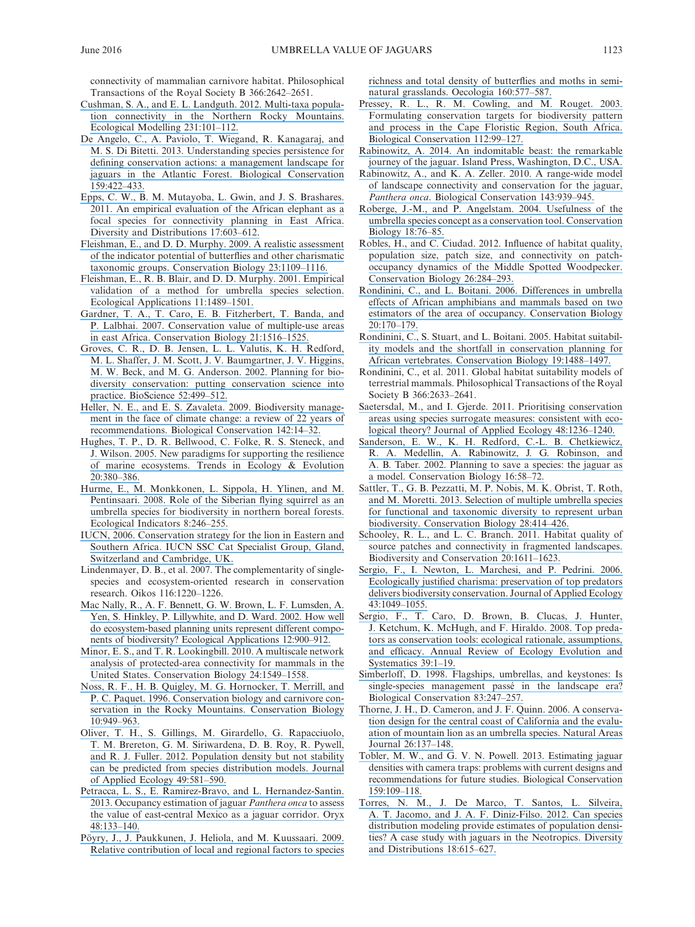connectivity of mammalian carnivore habitat. Philosophical Transactions of the Royal Society B 366:2642–2651.

- [Cushman, S. A., and E. L. Landguth. 2012. Multi-taxa popula](https://www.researchgate.net/publication/257130519_Multi-taxa_population_connectivity_in_the_Northern_Rocky_Mountains?el=1_x_8&enrichId=rgreq-a71d93e25b003951777f45b40c81ef78-XXX&enrichSource=Y292ZXJQYWdlOzMwMzUzMTgzNTtBUzozNzU4MTE5NDYzNjkwMjVAMTQ2NjYxMTk1ODQ5MA==)[tion connectivity in the Northern Rocky Mountains.](https://www.researchgate.net/publication/257130519_Multi-taxa_population_connectivity_in_the_Northern_Rocky_Mountains?el=1_x_8&enrichId=rgreq-a71d93e25b003951777f45b40c81ef78-XXX&enrichSource=Y292ZXJQYWdlOzMwMzUzMTgzNTtBUzozNzU4MTE5NDYzNjkwMjVAMTQ2NjYxMTk1ODQ5MA==)  [Ecological Modelling 231:101–112.](https://www.researchgate.net/publication/257130519_Multi-taxa_population_connectivity_in_the_Northern_Rocky_Mountains?el=1_x_8&enrichId=rgreq-a71d93e25b003951777f45b40c81ef78-XXX&enrichSource=Y292ZXJQYWdlOzMwMzUzMTgzNTtBUzozNzU4MTE5NDYzNjkwMjVAMTQ2NjYxMTk1ODQ5MA==)
- [De Angelo, C., A. Paviolo, T. Wiegand, R. Kanagaraj, and](https://www.researchgate.net/publication/256669190_Understanding_species_persistence_for_defining_conservation_actions_A_management_landscape_for_jaguars_in_the_Atlantic_Forest?el=1_x_8&enrichId=rgreq-a71d93e25b003951777f45b40c81ef78-XXX&enrichSource=Y292ZXJQYWdlOzMwMzUzMTgzNTtBUzozNzU4MTE5NDYzNjkwMjVAMTQ2NjYxMTk1ODQ5MA==)  [M. S. Di Bitetti. 2013. Understanding species persistence for](https://www.researchgate.net/publication/256669190_Understanding_species_persistence_for_defining_conservation_actions_A_management_landscape_for_jaguars_in_the_Atlantic_Forest?el=1_x_8&enrichId=rgreq-a71d93e25b003951777f45b40c81ef78-XXX&enrichSource=Y292ZXJQYWdlOzMwMzUzMTgzNTtBUzozNzU4MTE5NDYzNjkwMjVAMTQ2NjYxMTk1ODQ5MA==)  [defining conservation actions: a management landscape for](https://www.researchgate.net/publication/256669190_Understanding_species_persistence_for_defining_conservation_actions_A_management_landscape_for_jaguars_in_the_Atlantic_Forest?el=1_x_8&enrichId=rgreq-a71d93e25b003951777f45b40c81ef78-XXX&enrichSource=Y292ZXJQYWdlOzMwMzUzMTgzNTtBUzozNzU4MTE5NDYzNjkwMjVAMTQ2NjYxMTk1ODQ5MA==)  [jaguars in the Atlantic Forest. Biological Conservation](https://www.researchgate.net/publication/256669190_Understanding_species_persistence_for_defining_conservation_actions_A_management_landscape_for_jaguars_in_the_Atlantic_Forest?el=1_x_8&enrichId=rgreq-a71d93e25b003951777f45b40c81ef78-XXX&enrichSource=Y292ZXJQYWdlOzMwMzUzMTgzNTtBUzozNzU4MTE5NDYzNjkwMjVAMTQ2NjYxMTk1ODQ5MA==)  [159:422–433.](https://www.researchgate.net/publication/256669190_Understanding_species_persistence_for_defining_conservation_actions_A_management_landscape_for_jaguars_in_the_Atlantic_Forest?el=1_x_8&enrichId=rgreq-a71d93e25b003951777f45b40c81ef78-XXX&enrichSource=Y292ZXJQYWdlOzMwMzUzMTgzNTtBUzozNzU4MTE5NDYzNjkwMjVAMTQ2NjYxMTk1ODQ5MA==)
- [Epps, C. W., B. M. Mutayoba, L. Gwin, and J. S. Brashares.](https://www.researchgate.net/publication/228402036_An_empirical_evaluation_of_the_African_elephant_as_a_focal_species_for_connectivity_planning_in_East_Africa?el=1_x_8&enrichId=rgreq-a71d93e25b003951777f45b40c81ef78-XXX&enrichSource=Y292ZXJQYWdlOzMwMzUzMTgzNTtBUzozNzU4MTE5NDYzNjkwMjVAMTQ2NjYxMTk1ODQ5MA==)  [2011. An empirical evaluation of the African elephant as a](https://www.researchgate.net/publication/228402036_An_empirical_evaluation_of_the_African_elephant_as_a_focal_species_for_connectivity_planning_in_East_Africa?el=1_x_8&enrichId=rgreq-a71d93e25b003951777f45b40c81ef78-XXX&enrichSource=Y292ZXJQYWdlOzMwMzUzMTgzNTtBUzozNzU4MTE5NDYzNjkwMjVAMTQ2NjYxMTk1ODQ5MA==)  [focal species for connectivity planning in East Africa.](https://www.researchgate.net/publication/228402036_An_empirical_evaluation_of_the_African_elephant_as_a_focal_species_for_connectivity_planning_in_East_Africa?el=1_x_8&enrichId=rgreq-a71d93e25b003951777f45b40c81ef78-XXX&enrichSource=Y292ZXJQYWdlOzMwMzUzMTgzNTtBUzozNzU4MTE5NDYzNjkwMjVAMTQ2NjYxMTk1ODQ5MA==)  [Diversity and Distributions 17:603–612.](https://www.researchgate.net/publication/228402036_An_empirical_evaluation_of_the_African_elephant_as_a_focal_species_for_connectivity_planning_in_East_Africa?el=1_x_8&enrichId=rgreq-a71d93e25b003951777f45b40c81ef78-XXX&enrichSource=Y292ZXJQYWdlOzMwMzUzMTgzNTtBUzozNzU4MTE5NDYzNjkwMjVAMTQ2NjYxMTk1ODQ5MA==)
- [Fleishman, E., and D. D. Murphy. 2009. A realistic assessment](https://www.researchgate.net/publication/24444056_A_Realistic_Assessment_of_the_Indicator_Potential_of_Butterflies_and_Other_Charismatic_Taxonomic_Groups?el=1_x_8&enrichId=rgreq-a71d93e25b003951777f45b40c81ef78-XXX&enrichSource=Y292ZXJQYWdlOzMwMzUzMTgzNTtBUzozNzU4MTE5NDYzNjkwMjVAMTQ2NjYxMTk1ODQ5MA==)  [of the indicator potential of butterflies and other charismatic](https://www.researchgate.net/publication/24444056_A_Realistic_Assessment_of_the_Indicator_Potential_of_Butterflies_and_Other_Charismatic_Taxonomic_Groups?el=1_x_8&enrichId=rgreq-a71d93e25b003951777f45b40c81ef78-XXX&enrichSource=Y292ZXJQYWdlOzMwMzUzMTgzNTtBUzozNzU4MTE5NDYzNjkwMjVAMTQ2NjYxMTk1ODQ5MA==)  [taxonomic groups. Conservation Biology 23:1109–1116.](https://www.researchgate.net/publication/24444056_A_Realistic_Assessment_of_the_Indicator_Potential_of_Butterflies_and_Other_Charismatic_Taxonomic_Groups?el=1_x_8&enrichId=rgreq-a71d93e25b003951777f45b40c81ef78-XXX&enrichSource=Y292ZXJQYWdlOzMwMzUzMTgzNTtBUzozNzU4MTE5NDYzNjkwMjVAMTQ2NjYxMTk1ODQ5MA==)
- [Fleishman, E., R. B. Blair, and D. D. Murphy. 2001. Empirical](https://www.researchgate.net/publication/250077084_Empirical_Validation_of_a_Method_for_Umbrella_Species_Selection?el=1_x_8&enrichId=rgreq-a71d93e25b003951777f45b40c81ef78-XXX&enrichSource=Y292ZXJQYWdlOzMwMzUzMTgzNTtBUzozNzU4MTE5NDYzNjkwMjVAMTQ2NjYxMTk1ODQ5MA==)  [validation of a method for umbrella species selection.](https://www.researchgate.net/publication/250077084_Empirical_Validation_of_a_Method_for_Umbrella_Species_Selection?el=1_x_8&enrichId=rgreq-a71d93e25b003951777f45b40c81ef78-XXX&enrichSource=Y292ZXJQYWdlOzMwMzUzMTgzNTtBUzozNzU4MTE5NDYzNjkwMjVAMTQ2NjYxMTk1ODQ5MA==)  [Ecological Applications 11:1489–1501.](https://www.researchgate.net/publication/250077084_Empirical_Validation_of_a_Method_for_Umbrella_Species_Selection?el=1_x_8&enrichId=rgreq-a71d93e25b003951777f45b40c81ef78-XXX&enrichSource=Y292ZXJQYWdlOzMwMzUzMTgzNTtBUzozNzU4MTE5NDYzNjkwMjVAMTQ2NjYxMTk1ODQ5MA==)
- [Gardner, T. A., T. Caro, E. B. Fitzherbert, T. Banda, and](https://www.researchgate.net/publication/5677476_Conservation_Value_of_Multiple-Use_Areas_in_East_Africa?el=1_x_8&enrichId=rgreq-a71d93e25b003951777f45b40c81ef78-XXX&enrichSource=Y292ZXJQYWdlOzMwMzUzMTgzNTtBUzozNzU4MTE5NDYzNjkwMjVAMTQ2NjYxMTk1ODQ5MA==)  [P. Lalbhai. 2007. Conservation value of multiple-use areas](https://www.researchgate.net/publication/5677476_Conservation_Value_of_Multiple-Use_Areas_in_East_Africa?el=1_x_8&enrichId=rgreq-a71d93e25b003951777f45b40c81ef78-XXX&enrichSource=Y292ZXJQYWdlOzMwMzUzMTgzNTtBUzozNzU4MTE5NDYzNjkwMjVAMTQ2NjYxMTk1ODQ5MA==)  [in east Africa. Conservation Biology 21:1516–1525.](https://www.researchgate.net/publication/5677476_Conservation_Value_of_Multiple-Use_Areas_in_East_Africa?el=1_x_8&enrichId=rgreq-a71d93e25b003951777f45b40c81ef78-XXX&enrichSource=Y292ZXJQYWdlOzMwMzUzMTgzNTtBUzozNzU4MTE5NDYzNjkwMjVAMTQ2NjYxMTk1ODQ5MA==)
- [Groves, C. R., D. B. Jensen, L. L. Valutis, K. H. Redford,](https://www.researchgate.net/publication/232686061_Planning_for_Biodiversity_Conservation_Putting_Conservation_Science_into_Practice?el=1_x_8&enrichId=rgreq-a71d93e25b003951777f45b40c81ef78-XXX&enrichSource=Y292ZXJQYWdlOzMwMzUzMTgzNTtBUzozNzU4MTE5NDYzNjkwMjVAMTQ2NjYxMTk1ODQ5MA==)  [M. L. Shaffer, J. M. Scott, J. V. Baumgartner, J. V. Higgins,](https://www.researchgate.net/publication/232686061_Planning_for_Biodiversity_Conservation_Putting_Conservation_Science_into_Practice?el=1_x_8&enrichId=rgreq-a71d93e25b003951777f45b40c81ef78-XXX&enrichSource=Y292ZXJQYWdlOzMwMzUzMTgzNTtBUzozNzU4MTE5NDYzNjkwMjVAMTQ2NjYxMTk1ODQ5MA==)  [M. W. Beck, and M. G. Anderson. 2002. Planning for bio](https://www.researchgate.net/publication/232686061_Planning_for_Biodiversity_Conservation_Putting_Conservation_Science_into_Practice?el=1_x_8&enrichId=rgreq-a71d93e25b003951777f45b40c81ef78-XXX&enrichSource=Y292ZXJQYWdlOzMwMzUzMTgzNTtBUzozNzU4MTE5NDYzNjkwMjVAMTQ2NjYxMTk1ODQ5MA==)[diversity conservation: putting conservation science into](https://www.researchgate.net/publication/232686061_Planning_for_Biodiversity_Conservation_Putting_Conservation_Science_into_Practice?el=1_x_8&enrichId=rgreq-a71d93e25b003951777f45b40c81ef78-XXX&enrichSource=Y292ZXJQYWdlOzMwMzUzMTgzNTtBUzozNzU4MTE5NDYzNjkwMjVAMTQ2NjYxMTk1ODQ5MA==)  [practice. BioScience 52:499–512.](https://www.researchgate.net/publication/232686061_Planning_for_Biodiversity_Conservation_Putting_Conservation_Science_into_Practice?el=1_x_8&enrichId=rgreq-a71d93e25b003951777f45b40c81ef78-XXX&enrichSource=Y292ZXJQYWdlOzMwMzUzMTgzNTtBUzozNzU4MTE5NDYzNjkwMjVAMTQ2NjYxMTk1ODQ5MA==)
- [Heller, N. E., and E. S. Zavaleta. 2009. Biodiversity manage](https://www.researchgate.net/publication/222557816_Biodiversity_management_in_the_face_of_climate_change_A_review_of_22_years_of_recommendations?el=1_x_8&enrichId=rgreq-a71d93e25b003951777f45b40c81ef78-XXX&enrichSource=Y292ZXJQYWdlOzMwMzUzMTgzNTtBUzozNzU4MTE5NDYzNjkwMjVAMTQ2NjYxMTk1ODQ5MA==)[ment in the face of climate change: a review of 22](https://www.researchgate.net/publication/222557816_Biodiversity_management_in_the_face_of_climate_change_A_review_of_22_years_of_recommendations?el=1_x_8&enrichId=rgreq-a71d93e25b003951777f45b40c81ef78-XXX&enrichSource=Y292ZXJQYWdlOzMwMzUzMTgzNTtBUzozNzU4MTE5NDYzNjkwMjVAMTQ2NjYxMTk1ODQ5MA==) years of [recommendations. Biological Conservation 142:14–32.](https://www.researchgate.net/publication/222557816_Biodiversity_management_in_the_face_of_climate_change_A_review_of_22_years_of_recommendations?el=1_x_8&enrichId=rgreq-a71d93e25b003951777f45b40c81ef78-XXX&enrichSource=Y292ZXJQYWdlOzMwMzUzMTgzNTtBUzozNzU4MTE5NDYzNjkwMjVAMTQ2NjYxMTk1ODQ5MA==)
- [Hughes, T. P., D. R. Bellwood, C. Folke, R. S. Steneck, and](https://www.researchgate.net/publication/7080936_New_paradigms_for_supporting_the_resilience_of_marine_ecosystems?el=1_x_8&enrichId=rgreq-a71d93e25b003951777f45b40c81ef78-XXX&enrichSource=Y292ZXJQYWdlOzMwMzUzMTgzNTtBUzozNzU4MTE5NDYzNjkwMjVAMTQ2NjYxMTk1ODQ5MA==)  [J. Wilson. 2005. New paradigms for supporting the resilience](https://www.researchgate.net/publication/7080936_New_paradigms_for_supporting_the_resilience_of_marine_ecosystems?el=1_x_8&enrichId=rgreq-a71d93e25b003951777f45b40c81ef78-XXX&enrichSource=Y292ZXJQYWdlOzMwMzUzMTgzNTtBUzozNzU4MTE5NDYzNjkwMjVAMTQ2NjYxMTk1ODQ5MA==)  [of marine ecosystems. Trends in Ecology & Evolution](https://www.researchgate.net/publication/7080936_New_paradigms_for_supporting_the_resilience_of_marine_ecosystems?el=1_x_8&enrichId=rgreq-a71d93e25b003951777f45b40c81ef78-XXX&enrichSource=Y292ZXJQYWdlOzMwMzUzMTgzNTtBUzozNzU4MTE5NDYzNjkwMjVAMTQ2NjYxMTk1ODQ5MA==)  [20:380–386.](https://www.researchgate.net/publication/7080936_New_paradigms_for_supporting_the_resilience_of_marine_ecosystems?el=1_x_8&enrichId=rgreq-a71d93e25b003951777f45b40c81ef78-XXX&enrichSource=Y292ZXJQYWdlOzMwMzUzMTgzNTtBUzozNzU4MTE5NDYzNjkwMjVAMTQ2NjYxMTk1ODQ5MA==)
- [Hurme, E., M. Monkkonen, L. Sippola, H. Ylinen, and M.](https://www.researchgate.net/publication/222669508_Role_of_the_Siberian_flying_squirrel_as_an_umbrella_species_for_biodiversity_in_northern_boreal_forests?el=1_x_8&enrichId=rgreq-a71d93e25b003951777f45b40c81ef78-XXX&enrichSource=Y292ZXJQYWdlOzMwMzUzMTgzNTtBUzozNzU4MTE5NDYzNjkwMjVAMTQ2NjYxMTk1ODQ5MA==)  [Pentinsaari. 2008. Role of the Siberian flying squirrel as an](https://www.researchgate.net/publication/222669508_Role_of_the_Siberian_flying_squirrel_as_an_umbrella_species_for_biodiversity_in_northern_boreal_forests?el=1_x_8&enrichId=rgreq-a71d93e25b003951777f45b40c81ef78-XXX&enrichSource=Y292ZXJQYWdlOzMwMzUzMTgzNTtBUzozNzU4MTE5NDYzNjkwMjVAMTQ2NjYxMTk1ODQ5MA==)  [umbrella species for biodiversity in northern boreal forests.](https://www.researchgate.net/publication/222669508_Role_of_the_Siberian_flying_squirrel_as_an_umbrella_species_for_biodiversity_in_northern_boreal_forests?el=1_x_8&enrichId=rgreq-a71d93e25b003951777f45b40c81ef78-XXX&enrichSource=Y292ZXJQYWdlOzMwMzUzMTgzNTtBUzozNzU4MTE5NDYzNjkwMjVAMTQ2NjYxMTk1ODQ5MA==)  [Ecological Indicators 8:246–255.](https://www.researchgate.net/publication/222669508_Role_of_the_Siberian_flying_squirrel_as_an_umbrella_species_for_biodiversity_in_northern_boreal_forests?el=1_x_8&enrichId=rgreq-a71d93e25b003951777f45b40c81ef78-XXX&enrichSource=Y292ZXJQYWdlOzMwMzUzMTgzNTtBUzozNzU4MTE5NDYzNjkwMjVAMTQ2NjYxMTk1ODQ5MA==)
- [IUCN, 2006. Conservation strategy for the lion in Eastern and](https://www.researchgate.net/publication/242139181_Lions_Conflict_and_Conservation_in_Eastern_and_Southern_Africa?el=1_x_8&enrichId=rgreq-a71d93e25b003951777f45b40c81ef78-XXX&enrichSource=Y292ZXJQYWdlOzMwMzUzMTgzNTtBUzozNzU4MTE5NDYzNjkwMjVAMTQ2NjYxMTk1ODQ5MA==)  [Southern Africa. IUCN SSC Cat Specialist Group, Gland,](https://www.researchgate.net/publication/242139181_Lions_Conflict_and_Conservation_in_Eastern_and_Southern_Africa?el=1_x_8&enrichId=rgreq-a71d93e25b003951777f45b40c81ef78-XXX&enrichSource=Y292ZXJQYWdlOzMwMzUzMTgzNTtBUzozNzU4MTE5NDYzNjkwMjVAMTQ2NjYxMTk1ODQ5MA==)  [Switzerland and Cambridge, UK.](https://www.researchgate.net/publication/242139181_Lions_Conflict_and_Conservation_in_Eastern_and_Southern_Africa?el=1_x_8&enrichId=rgreq-a71d93e25b003951777f45b40c81ef78-XXX&enrichSource=Y292ZXJQYWdlOzMwMzUzMTgzNTtBUzozNzU4MTE5NDYzNjkwMjVAMTQ2NjYxMTk1ODQ5MA==)
- Lindenmayer, D. B., et al. 2007. The complementarity of singlespecies and ecosystem-oriented research in conservation research. Oikos 116:1220–1226.
- [Mac Nally, R., A. F. Bennett, G. W. Brown, L. F. Lumsden, A.](https://www.researchgate.net/publication/250077337_How_Well_Do_Ecosystem-Based_Planning_Units_Represent_Different_Components_of_Biodiversity?el=1_x_8&enrichId=rgreq-a71d93e25b003951777f45b40c81ef78-XXX&enrichSource=Y292ZXJQYWdlOzMwMzUzMTgzNTtBUzozNzU4MTE5NDYzNjkwMjVAMTQ2NjYxMTk1ODQ5MA==)  [Yen, S. Hinkley, P. Lillywhite, and D. Ward. 2002. How well](https://www.researchgate.net/publication/250077337_How_Well_Do_Ecosystem-Based_Planning_Units_Represent_Different_Components_of_Biodiversity?el=1_x_8&enrichId=rgreq-a71d93e25b003951777f45b40c81ef78-XXX&enrichSource=Y292ZXJQYWdlOzMwMzUzMTgzNTtBUzozNzU4MTE5NDYzNjkwMjVAMTQ2NjYxMTk1ODQ5MA==)  [do ecosystem-based planning units represent different compo](https://www.researchgate.net/publication/250077337_How_Well_Do_Ecosystem-Based_Planning_Units_Represent_Different_Components_of_Biodiversity?el=1_x_8&enrichId=rgreq-a71d93e25b003951777f45b40c81ef78-XXX&enrichSource=Y292ZXJQYWdlOzMwMzUzMTgzNTtBUzozNzU4MTE5NDYzNjkwMjVAMTQ2NjYxMTk1ODQ5MA==)[nents of biodiversity? Ecological Applications 12:900–912.](https://www.researchgate.net/publication/250077337_How_Well_Do_Ecosystem-Based_Planning_Units_Represent_Different_Components_of_Biodiversity?el=1_x_8&enrichId=rgreq-a71d93e25b003951777f45b40c81ef78-XXX&enrichSource=Y292ZXJQYWdlOzMwMzUzMTgzNTtBUzozNzU4MTE5NDYzNjkwMjVAMTQ2NjYxMTk1ODQ5MA==)
- [Minor, E. S., and T. R. Lookingbill. 2010. A multiscale network](https://www.researchgate.net/publication/45405185_A_Multiscale_Network_Analysis_of_Protected-Area_Connectivity_for_Mammals_in_the_United_States?el=1_x_8&enrichId=rgreq-a71d93e25b003951777f45b40c81ef78-XXX&enrichSource=Y292ZXJQYWdlOzMwMzUzMTgzNTtBUzozNzU4MTE5NDYzNjkwMjVAMTQ2NjYxMTk1ODQ5MA==)  [analysis of protected-area connectivity for mammals in the](https://www.researchgate.net/publication/45405185_A_Multiscale_Network_Analysis_of_Protected-Area_Connectivity_for_Mammals_in_the_United_States?el=1_x_8&enrichId=rgreq-a71d93e25b003951777f45b40c81ef78-XXX&enrichSource=Y292ZXJQYWdlOzMwMzUzMTgzNTtBUzozNzU4MTE5NDYzNjkwMjVAMTQ2NjYxMTk1ODQ5MA==)  [United States. Conservation Biology 24:1549–1558.](https://www.researchgate.net/publication/45405185_A_Multiscale_Network_Analysis_of_Protected-Area_Connectivity_for_Mammals_in_the_United_States?el=1_x_8&enrichId=rgreq-a71d93e25b003951777f45b40c81ef78-XXX&enrichSource=Y292ZXJQYWdlOzMwMzUzMTgzNTtBUzozNzU4MTE5NDYzNjkwMjVAMTQ2NjYxMTk1ODQ5MA==)
- [Noss, R. F., H. B. Quigley, M. G. Hornocker, T. Merrill, and](https://www.researchgate.net/publication/249431998_Conservation_Biology_and_Carnivore_Conservation_in_the_Rocky_Mountains?el=1_x_8&enrichId=rgreq-a71d93e25b003951777f45b40c81ef78-XXX&enrichSource=Y292ZXJQYWdlOzMwMzUzMTgzNTtBUzozNzU4MTE5NDYzNjkwMjVAMTQ2NjYxMTk1ODQ5MA==)  [P. C. Paquet. 1996. Conservation biology and carnivore con](https://www.researchgate.net/publication/249431998_Conservation_Biology_and_Carnivore_Conservation_in_the_Rocky_Mountains?el=1_x_8&enrichId=rgreq-a71d93e25b003951777f45b40c81ef78-XXX&enrichSource=Y292ZXJQYWdlOzMwMzUzMTgzNTtBUzozNzU4MTE5NDYzNjkwMjVAMTQ2NjYxMTk1ODQ5MA==)[servation in the Rocky Mountains. Conservation Biology](https://www.researchgate.net/publication/249431998_Conservation_Biology_and_Carnivore_Conservation_in_the_Rocky_Mountains?el=1_x_8&enrichId=rgreq-a71d93e25b003951777f45b40c81ef78-XXX&enrichSource=Y292ZXJQYWdlOzMwMzUzMTgzNTtBUzozNzU4MTE5NDYzNjkwMjVAMTQ2NjYxMTk1ODQ5MA==)  [10:949–963.](https://www.researchgate.net/publication/249431998_Conservation_Biology_and_Carnivore_Conservation_in_the_Rocky_Mountains?el=1_x_8&enrichId=rgreq-a71d93e25b003951777f45b40c81ef78-XXX&enrichSource=Y292ZXJQYWdlOzMwMzUzMTgzNTtBUzozNzU4MTE5NDYzNjkwMjVAMTQ2NjYxMTk1ODQ5MA==)
- [Oliver, T. H., S. Gillings, M. Girardello, G. Rapacciuolo,](https://www.researchgate.net/publication/237049099_Population_density_but_not_stability_can_be_predicted_from_species_distribution_models?el=1_x_8&enrichId=rgreq-a71d93e25b003951777f45b40c81ef78-XXX&enrichSource=Y292ZXJQYWdlOzMwMzUzMTgzNTtBUzozNzU4MTE5NDYzNjkwMjVAMTQ2NjYxMTk1ODQ5MA==)  [T. M. Brereton, G. M. Siriwardena, D. B. Roy, R. Pywell,](https://www.researchgate.net/publication/237049099_Population_density_but_not_stability_can_be_predicted_from_species_distribution_models?el=1_x_8&enrichId=rgreq-a71d93e25b003951777f45b40c81ef78-XXX&enrichSource=Y292ZXJQYWdlOzMwMzUzMTgzNTtBUzozNzU4MTE5NDYzNjkwMjVAMTQ2NjYxMTk1ODQ5MA==)  [and R. J. Fuller. 2012. Population density but not stability](https://www.researchgate.net/publication/237049099_Population_density_but_not_stability_can_be_predicted_from_species_distribution_models?el=1_x_8&enrichId=rgreq-a71d93e25b003951777f45b40c81ef78-XXX&enrichSource=Y292ZXJQYWdlOzMwMzUzMTgzNTtBUzozNzU4MTE5NDYzNjkwMjVAMTQ2NjYxMTk1ODQ5MA==)  [can be predicted from species distribution models. Journal](https://www.researchgate.net/publication/237049099_Population_density_but_not_stability_can_be_predicted_from_species_distribution_models?el=1_x_8&enrichId=rgreq-a71d93e25b003951777f45b40c81ef78-XXX&enrichSource=Y292ZXJQYWdlOzMwMzUzMTgzNTtBUzozNzU4MTE5NDYzNjkwMjVAMTQ2NjYxMTk1ODQ5MA==)  [of Applied Ecology 49:581–590.](https://www.researchgate.net/publication/237049099_Population_density_but_not_stability_can_be_predicted_from_species_distribution_models?el=1_x_8&enrichId=rgreq-a71d93e25b003951777f45b40c81ef78-XXX&enrichSource=Y292ZXJQYWdlOzMwMzUzMTgzNTtBUzozNzU4MTE5NDYzNjkwMjVAMTQ2NjYxMTk1ODQ5MA==)
- [Petracca, L. S., E. Ramirez-Bravo, and L. Hernandez-Santin.](https://www.researchgate.net/publication/259971112_Occupancy_estimation_of_jaguar_Panthera_onca_to_assess_the_value_of_east-central_Mexico_as_a_jaguar_corridor?el=1_x_8&enrichId=rgreq-a71d93e25b003951777f45b40c81ef78-XXX&enrichSource=Y292ZXJQYWdlOzMwMzUzMTgzNTtBUzozNzU4MTE5NDYzNjkwMjVAMTQ2NjYxMTk1ODQ5MA==)  [2013. Occupancy estimation of jaguar](https://www.researchgate.net/publication/259971112_Occupancy_estimation_of_jaguar_Panthera_onca_to_assess_the_value_of_east-central_Mexico_as_a_jaguar_corridor?el=1_x_8&enrichId=rgreq-a71d93e25b003951777f45b40c81ef78-XXX&enrichSource=Y292ZXJQYWdlOzMwMzUzMTgzNTtBUzozNzU4MTE5NDYzNjkwMjVAMTQ2NjYxMTk1ODQ5MA==) *Panthera onca* to assess [the value of east-central Mexico as a jaguar corridor. Oryx](https://www.researchgate.net/publication/259971112_Occupancy_estimation_of_jaguar_Panthera_onca_to_assess_the_value_of_east-central_Mexico_as_a_jaguar_corridor?el=1_x_8&enrichId=rgreq-a71d93e25b003951777f45b40c81ef78-XXX&enrichSource=Y292ZXJQYWdlOzMwMzUzMTgzNTtBUzozNzU4MTE5NDYzNjkwMjVAMTQ2NjYxMTk1ODQ5MA==)  [48:133–140.](https://www.researchgate.net/publication/259971112_Occupancy_estimation_of_jaguar_Panthera_onca_to_assess_the_value_of_east-central_Mexico_as_a_jaguar_corridor?el=1_x_8&enrichId=rgreq-a71d93e25b003951777f45b40c81ef78-XXX&enrichSource=Y292ZXJQYWdlOzMwMzUzMTgzNTtBUzozNzU4MTE5NDYzNjkwMjVAMTQ2NjYxMTk1ODQ5MA==)
- [Pöyry, J., J. Paukkunen, J. Heliola, and M. Kuussaari. 2009.](https://www.researchgate.net/publication/24242824_Relative_contributions_of_local_and_regional_factors_to_species_richness_and_total_density_of_butterflies_and_moths_in_semi-natural_grasslands?el=1_x_8&enrichId=rgreq-a71d93e25b003951777f45b40c81ef78-XXX&enrichSource=Y292ZXJQYWdlOzMwMzUzMTgzNTtBUzozNzU4MTE5NDYzNjkwMjVAMTQ2NjYxMTk1ODQ5MA==)  [Relative contribution of local and regional factors to species](https://www.researchgate.net/publication/24242824_Relative_contributions_of_local_and_regional_factors_to_species_richness_and_total_density_of_butterflies_and_moths_in_semi-natural_grasslands?el=1_x_8&enrichId=rgreq-a71d93e25b003951777f45b40c81ef78-XXX&enrichSource=Y292ZXJQYWdlOzMwMzUzMTgzNTtBUzozNzU4MTE5NDYzNjkwMjVAMTQ2NjYxMTk1ODQ5MA==)

[richness and total density of butterflies and moths in semi](https://www.researchgate.net/publication/24242824_Relative_contributions_of_local_and_regional_factors_to_species_richness_and_total_density_of_butterflies_and_moths_in_semi-natural_grasslands?el=1_x_8&enrichId=rgreq-a71d93e25b003951777f45b40c81ef78-XXX&enrichSource=Y292ZXJQYWdlOzMwMzUzMTgzNTtBUzozNzU4MTE5NDYzNjkwMjVAMTQ2NjYxMTk1ODQ5MA==)[natural grasslands. Oecologia 160:577–587.](https://www.researchgate.net/publication/24242824_Relative_contributions_of_local_and_regional_factors_to_species_richness_and_total_density_of_butterflies_and_moths_in_semi-natural_grasslands?el=1_x_8&enrichId=rgreq-a71d93e25b003951777f45b40c81ef78-XXX&enrichSource=Y292ZXJQYWdlOzMwMzUzMTgzNTtBUzozNzU4MTE5NDYzNjkwMjVAMTQ2NjYxMTk1ODQ5MA==)

- Pressey, R. L., R. M. Cowling, and M. Rouget. 2003. [Formulating conservation targets for biodiversity pattern](https://www.researchgate.net/publication/43469574_Formulating_conservation_targets_for_biodiversity_pattern_and_process_in_the_Cape_Floristic_Region_South_Africa?el=1_x_8&enrichId=rgreq-a71d93e25b003951777f45b40c81ef78-XXX&enrichSource=Y292ZXJQYWdlOzMwMzUzMTgzNTtBUzozNzU4MTE5NDYzNjkwMjVAMTQ2NjYxMTk1ODQ5MA==)  [and process in the Cape Floristic Region, South Africa.](https://www.researchgate.net/publication/43469574_Formulating_conservation_targets_for_biodiversity_pattern_and_process_in_the_Cape_Floristic_Region_South_Africa?el=1_x_8&enrichId=rgreq-a71d93e25b003951777f45b40c81ef78-XXX&enrichSource=Y292ZXJQYWdlOzMwMzUzMTgzNTtBUzozNzU4MTE5NDYzNjkwMjVAMTQ2NjYxMTk1ODQ5MA==)  [Biological Conservation 112:99–127.](https://www.researchgate.net/publication/43469574_Formulating_conservation_targets_for_biodiversity_pattern_and_process_in_the_Cape_Floristic_Region_South_Africa?el=1_x_8&enrichId=rgreq-a71d93e25b003951777f45b40c81ef78-XXX&enrichSource=Y292ZXJQYWdlOzMwMzUzMTgzNTtBUzozNzU4MTE5NDYzNjkwMjVAMTQ2NjYxMTk1ODQ5MA==)
- [Rabinowitz, A. 2014. An indomitable beast: the remarkable](https://www.researchgate.net/publication/288081341_An_indomitable_beast_The_remarkable_journey_of_the_Jaguar?el=1_x_8&enrichId=rgreq-a71d93e25b003951777f45b40c81ef78-XXX&enrichSource=Y292ZXJQYWdlOzMwMzUzMTgzNTtBUzozNzU4MTE5NDYzNjkwMjVAMTQ2NjYxMTk1ODQ5MA==)  [journey of the jaguar. Island Press, Washington, D.C., USA.](https://www.researchgate.net/publication/288081341_An_indomitable_beast_The_remarkable_journey_of_the_Jaguar?el=1_x_8&enrichId=rgreq-a71d93e25b003951777f45b40c81ef78-XXX&enrichSource=Y292ZXJQYWdlOzMwMzUzMTgzNTtBUzozNzU4MTE5NDYzNjkwMjVAMTQ2NjYxMTk1ODQ5MA==)
- [Rabinowitz, A., and K. A. Zeller. 2010. A range-wide model](https://www.researchgate.net/publication/222983709_A_range-wide_model_of_landscape_connectivity_and_conservation_for_the_jaguar_Panthera_onca?el=1_x_8&enrichId=rgreq-a71d93e25b003951777f45b40c81ef78-XXX&enrichSource=Y292ZXJQYWdlOzMwMzUzMTgzNTtBUzozNzU4MTE5NDYzNjkwMjVAMTQ2NjYxMTk1ODQ5MA==)  [of landscape connectivity and conservation for the jaguar,](https://www.researchgate.net/publication/222983709_A_range-wide_model_of_landscape_connectivity_and_conservation_for_the_jaguar_Panthera_onca?el=1_x_8&enrichId=rgreq-a71d93e25b003951777f45b40c81ef78-XXX&enrichSource=Y292ZXJQYWdlOzMwMzUzMTgzNTtBUzozNzU4MTE5NDYzNjkwMjVAMTQ2NjYxMTk1ODQ5MA==)  *Panthera onca*[. Biological Conservation 143:939–945.](https://www.researchgate.net/publication/222983709_A_range-wide_model_of_landscape_connectivity_and_conservation_for_the_jaguar_Panthera_onca?el=1_x_8&enrichId=rgreq-a71d93e25b003951777f45b40c81ef78-XXX&enrichSource=Y292ZXJQYWdlOzMwMzUzMTgzNTtBUzozNzU4MTE5NDYzNjkwMjVAMTQ2NjYxMTk1ODQ5MA==)
- [Roberge, J.-M., and P. Angelstam. 2004. Usefulness of the](https://www.researchgate.net/publication/257127470_Usefulness_of_the_Umbrella_Species_Concept_as_a_Conservation_Tool?el=1_x_8&enrichId=rgreq-a71d93e25b003951777f45b40c81ef78-XXX&enrichSource=Y292ZXJQYWdlOzMwMzUzMTgzNTtBUzozNzU4MTE5NDYzNjkwMjVAMTQ2NjYxMTk1ODQ5MA==)  [umbrella species concept as a conservation tool. Conservation](https://www.researchgate.net/publication/257127470_Usefulness_of_the_Umbrella_Species_Concept_as_a_Conservation_Tool?el=1_x_8&enrichId=rgreq-a71d93e25b003951777f45b40c81ef78-XXX&enrichSource=Y292ZXJQYWdlOzMwMzUzMTgzNTtBUzozNzU4MTE5NDYzNjkwMjVAMTQ2NjYxMTk1ODQ5MA==)  [Biology 18:76–85.](https://www.researchgate.net/publication/257127470_Usefulness_of_the_Umbrella_Species_Concept_as_a_Conservation_Tool?el=1_x_8&enrichId=rgreq-a71d93e25b003951777f45b40c81ef78-XXX&enrichSource=Y292ZXJQYWdlOzMwMzUzMTgzNTtBUzozNzU4MTE5NDYzNjkwMjVAMTQ2NjYxMTk1ODQ5MA==)
- [Robles, H., and C. Ciudad. 2012. Influence of habitat quality,](https://www.researchgate.net/publication/221769750_Influence_of_Habitat_Quality_Population_Size_Patch_Size_and_Connectivity_on_Patch-Occupancy_Dynamics_of_the_Middle_Spotted_Woodpecker?el=1_x_8&enrichId=rgreq-a71d93e25b003951777f45b40c81ef78-XXX&enrichSource=Y292ZXJQYWdlOzMwMzUzMTgzNTtBUzozNzU4MTE5NDYzNjkwMjVAMTQ2NjYxMTk1ODQ5MA==)  [population size, patch size, and connectivity on patch](https://www.researchgate.net/publication/221769750_Influence_of_Habitat_Quality_Population_Size_Patch_Size_and_Connectivity_on_Patch-Occupancy_Dynamics_of_the_Middle_Spotted_Woodpecker?el=1_x_8&enrichId=rgreq-a71d93e25b003951777f45b40c81ef78-XXX&enrichSource=Y292ZXJQYWdlOzMwMzUzMTgzNTtBUzozNzU4MTE5NDYzNjkwMjVAMTQ2NjYxMTk1ODQ5MA==)[occupancy dynamics of the Middle Spotted Woodpecker.](https://www.researchgate.net/publication/221769750_Influence_of_Habitat_Quality_Population_Size_Patch_Size_and_Connectivity_on_Patch-Occupancy_Dynamics_of_the_Middle_Spotted_Woodpecker?el=1_x_8&enrichId=rgreq-a71d93e25b003951777f45b40c81ef78-XXX&enrichSource=Y292ZXJQYWdlOzMwMzUzMTgzNTtBUzozNzU4MTE5NDYzNjkwMjVAMTQ2NjYxMTk1ODQ5MA==)  [Conservation Biology 26:284–293.](https://www.researchgate.net/publication/221769750_Influence_of_Habitat_Quality_Population_Size_Patch_Size_and_Connectivity_on_Patch-Occupancy_Dynamics_of_the_Middle_Spotted_Woodpecker?el=1_x_8&enrichId=rgreq-a71d93e25b003951777f45b40c81ef78-XXX&enrichSource=Y292ZXJQYWdlOzMwMzUzMTgzNTtBUzozNzU4MTE5NDYzNjkwMjVAMTQ2NjYxMTk1ODQ5MA==)
- [Rondinini, C., and L. Boitani. 2006. Differences in umbrella](https://www.researchgate.net/publication/6877199_Differences_in_the_Umbrella_Effects_of_African_Amphibians_and_Mammals_Based_on_Two_Estimators_of_the_Area_of_Occupancy?el=1_x_8&enrichId=rgreq-a71d93e25b003951777f45b40c81ef78-XXX&enrichSource=Y292ZXJQYWdlOzMwMzUzMTgzNTtBUzozNzU4MTE5NDYzNjkwMjVAMTQ2NjYxMTk1ODQ5MA==)  [effects of African amphibians and mammals based on two](https://www.researchgate.net/publication/6877199_Differences_in_the_Umbrella_Effects_of_African_Amphibians_and_Mammals_Based_on_Two_Estimators_of_the_Area_of_Occupancy?el=1_x_8&enrichId=rgreq-a71d93e25b003951777f45b40c81ef78-XXX&enrichSource=Y292ZXJQYWdlOzMwMzUzMTgzNTtBUzozNzU4MTE5NDYzNjkwMjVAMTQ2NjYxMTk1ODQ5MA==)  [estimators of the area of occupancy. Conservation Biology](https://www.researchgate.net/publication/6877199_Differences_in_the_Umbrella_Effects_of_African_Amphibians_and_Mammals_Based_on_Two_Estimators_of_the_Area_of_Occupancy?el=1_x_8&enrichId=rgreq-a71d93e25b003951777f45b40c81ef78-XXX&enrichSource=Y292ZXJQYWdlOzMwMzUzMTgzNTtBUzozNzU4MTE5NDYzNjkwMjVAMTQ2NjYxMTk1ODQ5MA==)  [20:170–179.](https://www.researchgate.net/publication/6877199_Differences_in_the_Umbrella_Effects_of_African_Amphibians_and_Mammals_Based_on_Two_Estimators_of_the_Area_of_Occupancy?el=1_x_8&enrichId=rgreq-a71d93e25b003951777f45b40c81ef78-XXX&enrichSource=Y292ZXJQYWdlOzMwMzUzMTgzNTtBUzozNzU4MTE5NDYzNjkwMjVAMTQ2NjYxMTk1ODQ5MA==)
- [Rondinini, C., S. Stuart, and L. Boitani. 2005. Habitat suitabil](https://www.researchgate.net/publication/229920919_Habitat_Suitability_Models_and_the_Shortfall_in_Conservation_Planning_for_African_Vertebrates?el=1_x_8&enrichId=rgreq-a71d93e25b003951777f45b40c81ef78-XXX&enrichSource=Y292ZXJQYWdlOzMwMzUzMTgzNTtBUzozNzU4MTE5NDYzNjkwMjVAMTQ2NjYxMTk1ODQ5MA==)[ity models and the shortfall in conservation planning for](https://www.researchgate.net/publication/229920919_Habitat_Suitability_Models_and_the_Shortfall_in_Conservation_Planning_for_African_Vertebrates?el=1_x_8&enrichId=rgreq-a71d93e25b003951777f45b40c81ef78-XXX&enrichSource=Y292ZXJQYWdlOzMwMzUzMTgzNTtBUzozNzU4MTE5NDYzNjkwMjVAMTQ2NjYxMTk1ODQ5MA==)  [African vertebrates. Conservation Biology 19:1488–1497.](https://www.researchgate.net/publication/229920919_Habitat_Suitability_Models_and_the_Shortfall_in_Conservation_Planning_for_African_Vertebrates?el=1_x_8&enrichId=rgreq-a71d93e25b003951777f45b40c81ef78-XXX&enrichSource=Y292ZXJQYWdlOzMwMzUzMTgzNTtBUzozNzU4MTE5NDYzNjkwMjVAMTQ2NjYxMTk1ODQ5MA==)
- Rondinini, C., et al. 2011. Global habitat suitability models of terrestrial mammals. Philosophical Transactions of the Royal Society B 366:2633–2641.
- [Saetersdal, M., and I. Gjerde. 2011. Prioritising conservation](https://www.researchgate.net/publication/230252901_Prioritising_conservation_areas_using_species_surrogate_measures_Consistent_with_ecological_theory?el=1_x_8&enrichId=rgreq-a71d93e25b003951777f45b40c81ef78-XXX&enrichSource=Y292ZXJQYWdlOzMwMzUzMTgzNTtBUzozNzU4MTE5NDYzNjkwMjVAMTQ2NjYxMTk1ODQ5MA==)  [areas using species surrogate measures: consistent with eco](https://www.researchgate.net/publication/230252901_Prioritising_conservation_areas_using_species_surrogate_measures_Consistent_with_ecological_theory?el=1_x_8&enrichId=rgreq-a71d93e25b003951777f45b40c81ef78-XXX&enrichSource=Y292ZXJQYWdlOzMwMzUzMTgzNTtBUzozNzU4MTE5NDYzNjkwMjVAMTQ2NjYxMTk1ODQ5MA==)[logical theory? Journal of Applied Ecology 48:1236–1240.](https://www.researchgate.net/publication/230252901_Prioritising_conservation_areas_using_species_surrogate_measures_Consistent_with_ecological_theory?el=1_x_8&enrichId=rgreq-a71d93e25b003951777f45b40c81ef78-XXX&enrichSource=Y292ZXJQYWdlOzMwMzUzMTgzNTtBUzozNzU4MTE5NDYzNjkwMjVAMTQ2NjYxMTk1ODQ5MA==)
- [Sanderson, E. W., K. H. Redford, C.-L. B. Chetkiewicz,](https://www.researchgate.net/publication/227515316_Planning_to_Save_a_Species_the_Jaguar_as_a_Model?el=1_x_8&enrichId=rgreq-a71d93e25b003951777f45b40c81ef78-XXX&enrichSource=Y292ZXJQYWdlOzMwMzUzMTgzNTtBUzozNzU4MTE5NDYzNjkwMjVAMTQ2NjYxMTk1ODQ5MA==)  [R. A. Medellin, A. Rabinowitz, J. G. Robinson, and](https://www.researchgate.net/publication/227515316_Planning_to_Save_a_Species_the_Jaguar_as_a_Model?el=1_x_8&enrichId=rgreq-a71d93e25b003951777f45b40c81ef78-XXX&enrichSource=Y292ZXJQYWdlOzMwMzUzMTgzNTtBUzozNzU4MTE5NDYzNjkwMjVAMTQ2NjYxMTk1ODQ5MA==)  [A. B. Taber. 2002. Planning to save a species: the jaguar as](https://www.researchgate.net/publication/227515316_Planning_to_Save_a_Species_the_Jaguar_as_a_Model?el=1_x_8&enrichId=rgreq-a71d93e25b003951777f45b40c81ef78-XXX&enrichSource=Y292ZXJQYWdlOzMwMzUzMTgzNTtBUzozNzU4MTE5NDYzNjkwMjVAMTQ2NjYxMTk1ODQ5MA==)  [a model. Conservation Biology 16:58–72.](https://www.researchgate.net/publication/227515316_Planning_to_Save_a_Species_the_Jaguar_as_a_Model?el=1_x_8&enrichId=rgreq-a71d93e25b003951777f45b40c81ef78-XXX&enrichSource=Y292ZXJQYWdlOzMwMzUzMTgzNTtBUzozNzU4MTE5NDYzNjkwMjVAMTQ2NjYxMTk1ODQ5MA==)
- [Sattler, T., G. B. Pezzatti, M. P. Nobis, M. K. Obrist, T. Roth,](https://www.researchgate.net/publication/259488779_Selection_of_Multiple_Umbrella_Species_for_Functional_and_Taxonomic_Diversity_to_Represent_Urban_Biodiversity?el=1_x_8&enrichId=rgreq-a71d93e25b003951777f45b40c81ef78-XXX&enrichSource=Y292ZXJQYWdlOzMwMzUzMTgzNTtBUzozNzU4MTE5NDYzNjkwMjVAMTQ2NjYxMTk1ODQ5MA==)  [and M. Moretti. 2013. Selection of multiple umbrella species](https://www.researchgate.net/publication/259488779_Selection_of_Multiple_Umbrella_Species_for_Functional_and_Taxonomic_Diversity_to_Represent_Urban_Biodiversity?el=1_x_8&enrichId=rgreq-a71d93e25b003951777f45b40c81ef78-XXX&enrichSource=Y292ZXJQYWdlOzMwMzUzMTgzNTtBUzozNzU4MTE5NDYzNjkwMjVAMTQ2NjYxMTk1ODQ5MA==)  [for functional and taxonomic diversity to represent urban](https://www.researchgate.net/publication/259488779_Selection_of_Multiple_Umbrella_Species_for_Functional_and_Taxonomic_Diversity_to_Represent_Urban_Biodiversity?el=1_x_8&enrichId=rgreq-a71d93e25b003951777f45b40c81ef78-XXX&enrichSource=Y292ZXJQYWdlOzMwMzUzMTgzNTtBUzozNzU4MTE5NDYzNjkwMjVAMTQ2NjYxMTk1ODQ5MA==)  [biodiversity. Conservation Biology 28:414–426.](https://www.researchgate.net/publication/259488779_Selection_of_Multiple_Umbrella_Species_for_Functional_and_Taxonomic_Diversity_to_Represent_Urban_Biodiversity?el=1_x_8&enrichId=rgreq-a71d93e25b003951777f45b40c81ef78-XXX&enrichSource=Y292ZXJQYWdlOzMwMzUzMTgzNTtBUzozNzU4MTE5NDYzNjkwMjVAMTQ2NjYxMTk1ODQ5MA==)
- [Schooley, R. L., and L. C. Branch. 2011. Habitat quality of](https://www.researchgate.net/publication/227180325_Habitat_quality_of_source_patches_and_connectivity_in_fragmented_landscapes?el=1_x_8&enrichId=rgreq-a71d93e25b003951777f45b40c81ef78-XXX&enrichSource=Y292ZXJQYWdlOzMwMzUzMTgzNTtBUzozNzU4MTE5NDYzNjkwMjVAMTQ2NjYxMTk1ODQ5MA==)  [source patches and connectivity in fragmented landscapes.](https://www.researchgate.net/publication/227180325_Habitat_quality_of_source_patches_and_connectivity_in_fragmented_landscapes?el=1_x_8&enrichId=rgreq-a71d93e25b003951777f45b40c81ef78-XXX&enrichSource=Y292ZXJQYWdlOzMwMzUzMTgzNTtBUzozNzU4MTE5NDYzNjkwMjVAMTQ2NjYxMTk1ODQ5MA==)  [Biodiversity and Conservation 20:1611–1623.](https://www.researchgate.net/publication/227180325_Habitat_quality_of_source_patches_and_connectivity_in_fragmented_landscapes?el=1_x_8&enrichId=rgreq-a71d93e25b003951777f45b40c81ef78-XXX&enrichSource=Y292ZXJQYWdlOzMwMzUzMTgzNTtBUzozNzU4MTE5NDYzNjkwMjVAMTQ2NjYxMTk1ODQ5MA==)
- [Sergio, F., I. Newton, L. Marchesi, and P. Pedrini. 2006.](https://www.researchgate.net/publication/227994604_Ecologically_justified_charisma_Preservation_of_top_predators_delivers_biodiversity_conservation?el=1_x_8&enrichId=rgreq-a71d93e25b003951777f45b40c81ef78-XXX&enrichSource=Y292ZXJQYWdlOzMwMzUzMTgzNTtBUzozNzU4MTE5NDYzNjkwMjVAMTQ2NjYxMTk1ODQ5MA==)  [Ecologically justified charisma: preservation of top predators](https://www.researchgate.net/publication/227994604_Ecologically_justified_charisma_Preservation_of_top_predators_delivers_biodiversity_conservation?el=1_x_8&enrichId=rgreq-a71d93e25b003951777f45b40c81ef78-XXX&enrichSource=Y292ZXJQYWdlOzMwMzUzMTgzNTtBUzozNzU4MTE5NDYzNjkwMjVAMTQ2NjYxMTk1ODQ5MA==)  [delivers biodiversity conservation. Journal of Applied Ecology](https://www.researchgate.net/publication/227994604_Ecologically_justified_charisma_Preservation_of_top_predators_delivers_biodiversity_conservation?el=1_x_8&enrichId=rgreq-a71d93e25b003951777f45b40c81ef78-XXX&enrichSource=Y292ZXJQYWdlOzMwMzUzMTgzNTtBUzozNzU4MTE5NDYzNjkwMjVAMTQ2NjYxMTk1ODQ5MA==)  [43:1049–1055.](https://www.researchgate.net/publication/227994604_Ecologically_justified_charisma_Preservation_of_top_predators_delivers_biodiversity_conservation?el=1_x_8&enrichId=rgreq-a71d93e25b003951777f45b40c81ef78-XXX&enrichSource=Y292ZXJQYWdlOzMwMzUzMTgzNTtBUzozNzU4MTE5NDYzNjkwMjVAMTQ2NjYxMTk1ODQ5MA==)
- Sergio, F., T. Caro, D. Brown, B. Clucas, J. Hunter, [J. Ketchum, K. McHugh, and F. Hiraldo. 2008. Top preda](https://www.researchgate.net/publication/228622050_Top_Predators_as_Conservation_Tools_Ecological_Rationale_Assumptions_and_Efficacy?el=1_x_8&enrichId=rgreq-a71d93e25b003951777f45b40c81ef78-XXX&enrichSource=Y292ZXJQYWdlOzMwMzUzMTgzNTtBUzozNzU4MTE5NDYzNjkwMjVAMTQ2NjYxMTk1ODQ5MA==)[tors as conservation tools: ecological rationale, assumptions,](https://www.researchgate.net/publication/228622050_Top_Predators_as_Conservation_Tools_Ecological_Rationale_Assumptions_and_Efficacy?el=1_x_8&enrichId=rgreq-a71d93e25b003951777f45b40c81ef78-XXX&enrichSource=Y292ZXJQYWdlOzMwMzUzMTgzNTtBUzozNzU4MTE5NDYzNjkwMjVAMTQ2NjYxMTk1ODQ5MA==)  [and efficacy. Annual Review of Ecology Evolution and](https://www.researchgate.net/publication/228622050_Top_Predators_as_Conservation_Tools_Ecological_Rationale_Assumptions_and_Efficacy?el=1_x_8&enrichId=rgreq-a71d93e25b003951777f45b40c81ef78-XXX&enrichSource=Y292ZXJQYWdlOzMwMzUzMTgzNTtBUzozNzU4MTE5NDYzNjkwMjVAMTQ2NjYxMTk1ODQ5MA==)  [Systematics 39:1–19.](https://www.researchgate.net/publication/228622050_Top_Predators_as_Conservation_Tools_Ecological_Rationale_Assumptions_and_Efficacy?el=1_x_8&enrichId=rgreq-a71d93e25b003951777f45b40c81ef78-XXX&enrichSource=Y292ZXJQYWdlOzMwMzUzMTgzNTtBUzozNzU4MTE5NDYzNjkwMjVAMTQ2NjYxMTk1ODQ5MA==)
- [Simberloff, D. 1998. Flagships, umbrellas, and keystones: Is](https://www.researchgate.net/publication/223837047_Flagships_umbrellas_and_keystones_Is_single-species_management_passe_in_the_landscape_era?el=1_x_8&enrichId=rgreq-a71d93e25b003951777f45b40c81ef78-XXX&enrichSource=Y292ZXJQYWdlOzMwMzUzMTgzNTtBUzozNzU4MTE5NDYzNjkwMjVAMTQ2NjYxMTk1ODQ5MA==)  [single-species management passé in the landscape era?](https://www.researchgate.net/publication/223837047_Flagships_umbrellas_and_keystones_Is_single-species_management_passe_in_the_landscape_era?el=1_x_8&enrichId=rgreq-a71d93e25b003951777f45b40c81ef78-XXX&enrichSource=Y292ZXJQYWdlOzMwMzUzMTgzNTtBUzozNzU4MTE5NDYzNjkwMjVAMTQ2NjYxMTk1ODQ5MA==)  [Biological Conservation 83:247–257.](https://www.researchgate.net/publication/223837047_Flagships_umbrellas_and_keystones_Is_single-species_management_passe_in_the_landscape_era?el=1_x_8&enrichId=rgreq-a71d93e25b003951777f45b40c81ef78-XXX&enrichSource=Y292ZXJQYWdlOzMwMzUzMTgzNTtBUzozNzU4MTE5NDYzNjkwMjVAMTQ2NjYxMTk1ODQ5MA==)
- [Thorne, J. H., D. Cameron, and J. F. Quinn. 2006. A conserva](https://www.researchgate.net/publication/232691504_A_Conservation_Design_for_the_Central_Coast_of_California_and_the_Evaluation_of_Mountain_Lion_as_an_Umbrella_Species?el=1_x_8&enrichId=rgreq-a71d93e25b003951777f45b40c81ef78-XXX&enrichSource=Y292ZXJQYWdlOzMwMzUzMTgzNTtBUzozNzU4MTE5NDYzNjkwMjVAMTQ2NjYxMTk1ODQ5MA==)[tion design for the central coast of California and the evalu](https://www.researchgate.net/publication/232691504_A_Conservation_Design_for_the_Central_Coast_of_California_and_the_Evaluation_of_Mountain_Lion_as_an_Umbrella_Species?el=1_x_8&enrichId=rgreq-a71d93e25b003951777f45b40c81ef78-XXX&enrichSource=Y292ZXJQYWdlOzMwMzUzMTgzNTtBUzozNzU4MTE5NDYzNjkwMjVAMTQ2NjYxMTk1ODQ5MA==)[ation of mountain lion as an umbrella species. Natural Areas](https://www.researchgate.net/publication/232691504_A_Conservation_Design_for_the_Central_Coast_of_California_and_the_Evaluation_of_Mountain_Lion_as_an_Umbrella_Species?el=1_x_8&enrichId=rgreq-a71d93e25b003951777f45b40c81ef78-XXX&enrichSource=Y292ZXJQYWdlOzMwMzUzMTgzNTtBUzozNzU4MTE5NDYzNjkwMjVAMTQ2NjYxMTk1ODQ5MA==)  [Journal 26:137–148.](https://www.researchgate.net/publication/232691504_A_Conservation_Design_for_the_Central_Coast_of_California_and_the_Evaluation_of_Mountain_Lion_as_an_Umbrella_Species?el=1_x_8&enrichId=rgreq-a71d93e25b003951777f45b40c81ef78-XXX&enrichSource=Y292ZXJQYWdlOzMwMzUzMTgzNTtBUzozNzU4MTE5NDYzNjkwMjVAMTQ2NjYxMTk1ODQ5MA==)
- [Tobler, M. W., and G. V. N. Powell. 2013. Estimating jaguar](https://www.researchgate.net/publication/256669243_Estimating_jaguar_densities_with_camera_traps_Problems_with_current_designs_and_recommendations_for_future_studies?el=1_x_8&enrichId=rgreq-a71d93e25b003951777f45b40c81ef78-XXX&enrichSource=Y292ZXJQYWdlOzMwMzUzMTgzNTtBUzozNzU4MTE5NDYzNjkwMjVAMTQ2NjYxMTk1ODQ5MA==)  [densities with camera traps: problems with current designs and](https://www.researchgate.net/publication/256669243_Estimating_jaguar_densities_with_camera_traps_Problems_with_current_designs_and_recommendations_for_future_studies?el=1_x_8&enrichId=rgreq-a71d93e25b003951777f45b40c81ef78-XXX&enrichSource=Y292ZXJQYWdlOzMwMzUzMTgzNTtBUzozNzU4MTE5NDYzNjkwMjVAMTQ2NjYxMTk1ODQ5MA==)  [recommendations for future studies. Biological Conservation](https://www.researchgate.net/publication/256669243_Estimating_jaguar_densities_with_camera_traps_Problems_with_current_designs_and_recommendations_for_future_studies?el=1_x_8&enrichId=rgreq-a71d93e25b003951777f45b40c81ef78-XXX&enrichSource=Y292ZXJQYWdlOzMwMzUzMTgzNTtBUzozNzU4MTE5NDYzNjkwMjVAMTQ2NjYxMTk1ODQ5MA==)  [159:109–118.](https://www.researchgate.net/publication/256669243_Estimating_jaguar_densities_with_camera_traps_Problems_with_current_designs_and_recommendations_for_future_studies?el=1_x_8&enrichId=rgreq-a71d93e25b003951777f45b40c81ef78-XXX&enrichSource=Y292ZXJQYWdlOzMwMzUzMTgzNTtBUzozNzU4MTE5NDYzNjkwMjVAMTQ2NjYxMTk1ODQ5MA==)
- [Torres, N. M., J. De Marco, T. Santos, L. Silveira,](https://www.researchgate.net/publication/259927848_Can_species_distribution_modeling_provide_estimates_of_population_densities_A_case_study_with_jaguars_in_the_Neotropics?el=1_x_8&enrichId=rgreq-a71d93e25b003951777f45b40c81ef78-XXX&enrichSource=Y292ZXJQYWdlOzMwMzUzMTgzNTtBUzozNzU4MTE5NDYzNjkwMjVAMTQ2NjYxMTk1ODQ5MA==)  [A. T. Jacomo, and J. A. F. Diniz-Filso. 2012. Can species](https://www.researchgate.net/publication/259927848_Can_species_distribution_modeling_provide_estimates_of_population_densities_A_case_study_with_jaguars_in_the_Neotropics?el=1_x_8&enrichId=rgreq-a71d93e25b003951777f45b40c81ef78-XXX&enrichSource=Y292ZXJQYWdlOzMwMzUzMTgzNTtBUzozNzU4MTE5NDYzNjkwMjVAMTQ2NjYxMTk1ODQ5MA==)  [distribution modeling provide estimates of population densi](https://www.researchgate.net/publication/259927848_Can_species_distribution_modeling_provide_estimates_of_population_densities_A_case_study_with_jaguars_in_the_Neotropics?el=1_x_8&enrichId=rgreq-a71d93e25b003951777f45b40c81ef78-XXX&enrichSource=Y292ZXJQYWdlOzMwMzUzMTgzNTtBUzozNzU4MTE5NDYzNjkwMjVAMTQ2NjYxMTk1ODQ5MA==)[ties? A case study with jaguars in the Neotropics. Diversity](https://www.researchgate.net/publication/259927848_Can_species_distribution_modeling_provide_estimates_of_population_densities_A_case_study_with_jaguars_in_the_Neotropics?el=1_x_8&enrichId=rgreq-a71d93e25b003951777f45b40c81ef78-XXX&enrichSource=Y292ZXJQYWdlOzMwMzUzMTgzNTtBUzozNzU4MTE5NDYzNjkwMjVAMTQ2NjYxMTk1ODQ5MA==)  [and Distributions 18:615–627.](https://www.researchgate.net/publication/259927848_Can_species_distribution_modeling_provide_estimates_of_population_densities_A_case_study_with_jaguars_in_the_Neotropics?el=1_x_8&enrichId=rgreq-a71d93e25b003951777f45b40c81ef78-XXX&enrichSource=Y292ZXJQYWdlOzMwMzUzMTgzNTtBUzozNzU4MTE5NDYzNjkwMjVAMTQ2NjYxMTk1ODQ5MA==)